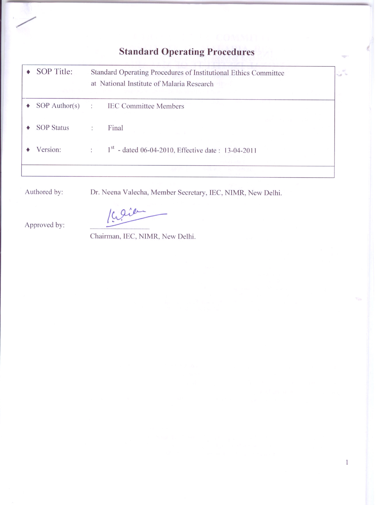# **Standard Operating Procedures**

|           | SOP Title:        | Standard Operating Procedures of Institutional Ethics Committee<br>at National Institute of Malaria Research |  |
|-----------|-------------------|--------------------------------------------------------------------------------------------------------------|--|
| $\bullet$ | $SOP$ Author(s)   | <b>IEC Committee Members</b><br>$\ddot{\phantom{0}}$                                                         |  |
|           | <b>SOP Status</b> | Final<br>÷                                                                                                   |  |
|           | Version:          | $1st$ - dated 06-04-2010, Effective date: 13-04-2011                                                         |  |
|           |                   |                                                                                                              |  |

Authored by:

Dr. Neena Valecha, Member Secretary, IEC, NIMR, New Delhi.

 $\,1$ 

Kaie

Approved by:

Chairman, IEC, NIMR, New Delhi.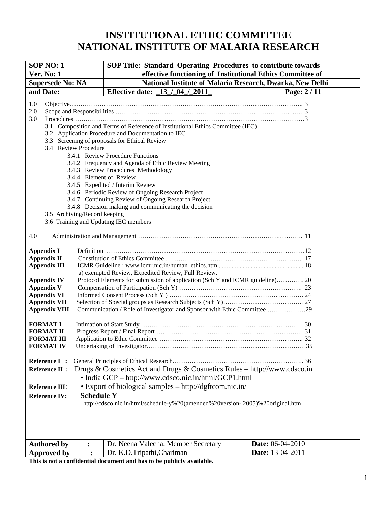| <b>SOP NO: 1</b>                                                                                                                                                               |                              | SOP Title: Standard Operating Procedures to contribute towards                                                                                                                                                                                                                                                                                                                                                                                                                                                                 |                         |  |  |
|--------------------------------------------------------------------------------------------------------------------------------------------------------------------------------|------------------------------|--------------------------------------------------------------------------------------------------------------------------------------------------------------------------------------------------------------------------------------------------------------------------------------------------------------------------------------------------------------------------------------------------------------------------------------------------------------------------------------------------------------------------------|-------------------------|--|--|
| <b>Ver. No: 1</b>                                                                                                                                                              |                              | effective functioning of Institutional Ethics Committee of                                                                                                                                                                                                                                                                                                                                                                                                                                                                     |                         |  |  |
| <b>Supersede No: NA</b>                                                                                                                                                        |                              | National Institute of Malaria Research, Dwarka, New Delhi                                                                                                                                                                                                                                                                                                                                                                                                                                                                      |                         |  |  |
| and Date:                                                                                                                                                                      |                              | <b>Effective date:</b> 13 / 04 / 2011                                                                                                                                                                                                                                                                                                                                                                                                                                                                                          | Page: 2/11              |  |  |
| 1.0<br>2.0<br>3.0<br>3.4 Review Procedure<br>3.4.4 Element of Review                                                                                                           |                              | 3.1 Composition and Terms of Reference of Institutional Ethics Committee (IEC)<br>3.2 Application Procedure and Documentation to IEC<br>3.3 Screening of proposals for Ethical Review<br>3.4.1 Review Procedure Functions<br>3.4.2 Frequency and Agenda of Ethic Review Meeting<br>3.4.3 Review Procedures Methodology<br>3.4.5 Expedited / Interim Review<br>3.4.6 Periodic Review of Ongoing Research Project<br>3.4.7 Continuing Review of Ongoing Research Project<br>3.4.8 Decision making and communicating the decision |                         |  |  |
|                                                                                                                                                                                | 3.5 Archiving/Record keeping | 3.6 Training and Updating IEC members                                                                                                                                                                                                                                                                                                                                                                                                                                                                                          |                         |  |  |
|                                                                                                                                                                                |                              |                                                                                                                                                                                                                                                                                                                                                                                                                                                                                                                                |                         |  |  |
| 4.0                                                                                                                                                                            |                              |                                                                                                                                                                                                                                                                                                                                                                                                                                                                                                                                |                         |  |  |
| <b>Appendix I</b><br><b>Appendix II</b><br><b>Appendix III</b><br><b>Appendix IV</b><br><b>Appendix V</b><br><b>Appendix VI</b><br><b>Appendix VII</b><br><b>Appendix VIII</b> |                              | a) exempted Review, Expedited Review, Full Review.<br>Protocol Elements for submission of application (Sch Y and ICMR guideline)20<br>Communication / Role of Investigator and Sponsor with Ethic Committee 29                                                                                                                                                                                                                                                                                                                 |                         |  |  |
| <b>FORMATI</b><br><b>FORMAT II</b><br><b>FORMAT III</b><br><b>FORMAT IV</b><br>Reference I :<br><b>Reference II:</b>                                                           |                              | Drugs & Cosmetics Act and Drugs & Cosmetics Rules - http://www.cdsco.in                                                                                                                                                                                                                                                                                                                                                                                                                                                        |                         |  |  |
|                                                                                                                                                                                |                              | · India GCP - http://www.cdsco.nic.in/html/GCP1.html                                                                                                                                                                                                                                                                                                                                                                                                                                                                           |                         |  |  |
| <b>Reference III:</b>                                                                                                                                                          |                              | • Export of biological samples – http://dgftcom.nic.in/                                                                                                                                                                                                                                                                                                                                                                                                                                                                        |                         |  |  |
| <b>Schedule Y</b><br><b>Reference IV:</b>                                                                                                                                      |                              |                                                                                                                                                                                                                                                                                                                                                                                                                                                                                                                                |                         |  |  |
| http://cdsco.nic.in/html/schedule-y%20(amended%20version-2005)%20original.htm                                                                                                  |                              |                                                                                                                                                                                                                                                                                                                                                                                                                                                                                                                                |                         |  |  |
| <b>Authored by</b>                                                                                                                                                             | $\ddot{\cdot}$               | Dr. Neena Valecha, Member Secretary                                                                                                                                                                                                                                                                                                                                                                                                                                                                                            | <b>Date:</b> 06-04-2010 |  |  |
| <b>Approved by</b>                                                                                                                                                             | $\ddot{\cdot}$               | Dr. K.D.Tripathi, Chariman                                                                                                                                                                                                                                                                                                                                                                                                                                                                                                     | Date: 13-04-2011        |  |  |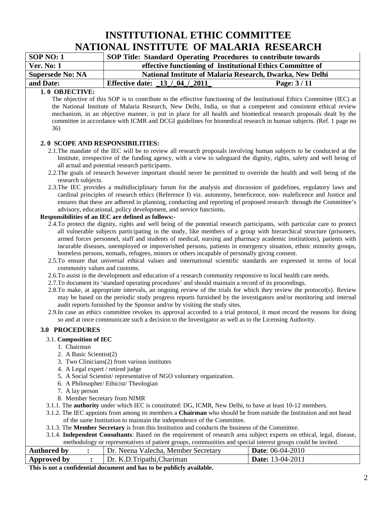**INSTITUTIONAL ETHIC COMMITTEE**

| NATIONAL INSTITUTE OF MALARIA RESEARCH |  |
|----------------------------------------|--|
|                                        |  |

| $\vert$ SOP NO: 1 | SOP Title: Standard Operating Procedures to contribute towards |                                                           |  |
|-------------------|----------------------------------------------------------------|-----------------------------------------------------------|--|
| <b>Ver. No: 1</b> | effective functioning of Institutional Ethics Committee of     |                                                           |  |
| Supersede No: NA  |                                                                | National Institute of Malaria Research, Dwarka, New Delhi |  |
| and Date:         | <b>Effective date:</b> 13 / 04 / 2011                          | Page: $3/11$                                              |  |

#### **1. 0 OBJECTIVE:**

The objective of this SOP is to contribute to the effective functioning of the Institutional Ethics Committee (IEC) at the National Institute of Malaria Research, New Delhi, India, so that a competent and consistent ethical review mechanism, in an objective manner, is put in place for all health and biomedical research proposals dealt by the committee in accordance with ICMR and DCGI guidelines for biomedical research in human subjects. (Ref. 1 page no 36)

#### **2. 0 SCOPE AND RESPONSIBILITIES:**

- 2.1.The mandate of the IEC will be to review all research proposals involving human subjects to be conducted at the Institute, irrespective of the funding agency, with a view to safeguard the dignity, rights, safety and well being of all actual and potential research participants.
- 2.2.The goals of research however important should never be permitted to override the health and well being of the research subjects.
- 2.3.The IEC provides a multidisciplinary forum for the analysis and discussion of guidelines, regulatory laws and cardinal principles of research ethics (Reference I) viz. autonomy, beneficence, non- maleficence and Justice and ensures that these are adhered in planning, conducting and reporting of proposed research through the Committee's advisory, educational, policy development, and service functions**.**

#### **Responsibilities of an IEC are defined as follows:-**

- 2.4.To protect the dignity, rights and well being of the potential research participants, with particular care to protect all vulnerable subjects participating in the study, like members of a group with hierarchical structure (prisoners, armed forces personnel, staff and students of medical, nursing and pharmacy academic institutions), patients with incurable diseases, unemployed or impoverished persons, patients in emergency situation, ethnic minority groups, homeless persons, nomads, refugees, minors or others incapable of personally giving consent.
- 2.5.To ensure that universal ethical values and international scientific standards are expressed in terms of local community values and customs.
- 2.6.To assist in the development and education of a research community responsive to local health care needs.
- 2.7.To document its 'standard operating procedures' and should maintain a record of its proceedings.
- 2.8.To make, at appropriate intervals, an ongoing review of the trials for which they review the protocol(s). Review may be based on the periodic study progress reports furnished by the investigators and/or monitoring and internal audit reports furnished by the Sponsor and/or by visiting the study sites.
- 2.9.In case an ethics committee revokes its approval accorded to a trial protocol, it must record the reasons for doing so and at once communicate such a decision to the Investigator as well as to the Licensing Authority.

### **3.0 PROCEDURES**

#### 3.1. **Composition of IEC**

- 1. Chairman
- 2. A Basic Scientist(2)
- 3. Two Clinicians(2) from various institutes
- 4. A Legal expert / retired judge
- 5. A Social Scientist/ representative of NGO voluntary organization.
- 6. A Philosopher/ Ethicist/ Theologian
- 7. A lay person
- 8. Member Secretary from NIMR
- 3.1.1. The **authority** under which IEC is constituted: DG, ICMR, New Delhi, to have at least 10-12 members.
- 3.1.2. The IEC appoints from among its members a **Chairman** who should be from outside the Institution and not head of the same Institution to maintain the independence of the Committee.
- 3.1.3. The **Member Secretary** is from this Institution and conducts the business of the Committee.
- 3.1.4. **Independent Consultants**: Based on the requirement of research area subject experts on ethical, legal, disease, methodology or representatives of patient groups, communities and special interest groups could be invited.

| <b>Authored by</b> | Dr. Neena Valecha, Member Secretary | <b>Date:</b> $06-04-2010$ |
|--------------------|-------------------------------------|---------------------------|
| <b>Approved by</b> | Dr. K.D.Tripathi,Chariman           | <b>Date:</b> 13-04-2011   |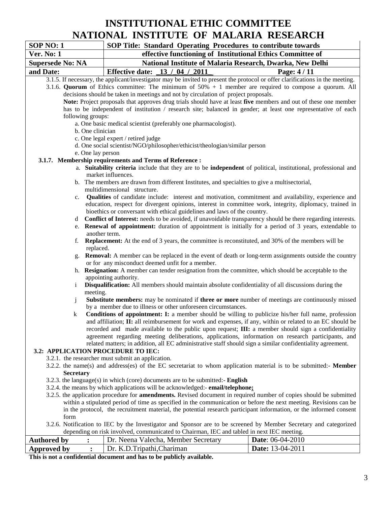| SOP NO: 1                          | SOP Title: Standard Operating Procedures to contribute towards                                                                                                                                                                                                                                                                                                                                                                                                                                                                                      |  |  |
|------------------------------------|-----------------------------------------------------------------------------------------------------------------------------------------------------------------------------------------------------------------------------------------------------------------------------------------------------------------------------------------------------------------------------------------------------------------------------------------------------------------------------------------------------------------------------------------------------|--|--|
| <b>Ver. No: 1</b>                  | effective functioning of Institutional Ethics Committee of                                                                                                                                                                                                                                                                                                                                                                                                                                                                                          |  |  |
| <b>Supersede No: NA</b>            | National Institute of Malaria Research, Dwarka, New Delhi                                                                                                                                                                                                                                                                                                                                                                                                                                                                                           |  |  |
| and Date:                          | <b>Effective date:</b> 13 / 04 / 2011<br>Page: 4/11                                                                                                                                                                                                                                                                                                                                                                                                                                                                                                 |  |  |
|                                    | 3.1.5. If necessary, the applicant/investigator may be invited to present the protocol or offer clarifications in the meeting.<br>3.1.6. Quorum of Ethics committee: The minimum of $50\% + 1$ member are required to compose a quorum. All                                                                                                                                                                                                                                                                                                         |  |  |
|                                    | decisions should be taken in meetings and not by circulation of project proposals.                                                                                                                                                                                                                                                                                                                                                                                                                                                                  |  |  |
|                                    | Note: Project proposals that approves drug trials should have at least five members and out of these one member<br>has to be independent of institution / research site; balanced in gender; at least one representative of each                                                                                                                                                                                                                                                                                                                    |  |  |
| following groups:                  |                                                                                                                                                                                                                                                                                                                                                                                                                                                                                                                                                     |  |  |
| b. One clinician                   | a. One basic medical scientist (preferably one pharmacologist).                                                                                                                                                                                                                                                                                                                                                                                                                                                                                     |  |  |
|                                    | c. One legal expert / retired judge                                                                                                                                                                                                                                                                                                                                                                                                                                                                                                                 |  |  |
|                                    | d. One social scientist/NGO/philosopher/ethicist/theologian/similar person                                                                                                                                                                                                                                                                                                                                                                                                                                                                          |  |  |
| e. One lay person                  |                                                                                                                                                                                                                                                                                                                                                                                                                                                                                                                                                     |  |  |
|                                    | 3.1.7. Membership requirements and Terms of Reference:                                                                                                                                                                                                                                                                                                                                                                                                                                                                                              |  |  |
|                                    | a. Suitability criteria include that they are to be independent of political, institutional, professional and<br>market influences.                                                                                                                                                                                                                                                                                                                                                                                                                 |  |  |
|                                    | b. The members are drawn from different Institutes, and specialties to give a multisectorial,<br>multidimensional structure.                                                                                                                                                                                                                                                                                                                                                                                                                        |  |  |
| $c_{\cdot}$                        | <b>Qualities</b> of candidate include: interest and motivation, commitment and availability, experience and<br>education, respect for divergent opinions, interest in committee work, integrity, diplomacy, trained in<br>bioethics or conversant with ethical guidelines and laws of the country.                                                                                                                                                                                                                                                  |  |  |
| d.                                 | <b>Conflict of Interest:</b> needs to be avoided, if unavoidable transparency should be there regarding interests.                                                                                                                                                                                                                                                                                                                                                                                                                                  |  |  |
| e.                                 | <b>Renewal of appointment:</b> duration of appointment is initially for a period of 3 years, extendable to<br>another term.                                                                                                                                                                                                                                                                                                                                                                                                                         |  |  |
| f.<br>replaced.                    | <b>Replacement:</b> At the end of 3 years, the committee is reconstituted, and 30% of the members will be                                                                                                                                                                                                                                                                                                                                                                                                                                           |  |  |
|                                    | g. Removal: A member can be replaced in the event of death or long-term assignments outside the country<br>or for any misconduct deemed unfit for a member.                                                                                                                                                                                                                                                                                                                                                                                         |  |  |
|                                    | h. Resignation: A member can tender resignation from the committee, which should be acceptable to the<br>appointing authority.                                                                                                                                                                                                                                                                                                                                                                                                                      |  |  |
| $\mathbf{i}$<br>meeting.           | Disqualification: All members should maintain absolute confidentiality of all discussions during the                                                                                                                                                                                                                                                                                                                                                                                                                                                |  |  |
| j                                  | <b>Substitute members:</b> may be nominated if <b>three or more</b> number of meetings are continuously missed<br>by a member due to illness or other unforeseen circumstances.                                                                                                                                                                                                                                                                                                                                                                     |  |  |
| k                                  | <b>Conditions of appointment: I:</b> a member should be willing to publicize his/her full name, profession<br>and affiliation; II: all reimbursement for work and expenses, if any, within or related to an EC should be<br>recorded and made available to the public upon request; III: a member should sign a confidentiality<br>agreement regarding meeting deliberations, applications, information on research participants, and<br>related matters; in addition, all EC administrative staff should sign a similar confidentiality agreement. |  |  |
| 3.2: APPLICATION PROCEDURE TO IEC: |                                                                                                                                                                                                                                                                                                                                                                                                                                                                                                                                                     |  |  |
|                                    | 3.2.1. the researcher must submit an application.<br>3.2.2. the name(s) and address(es) of the EC secretariat to whom application material is to be submitted:- Member                                                                                                                                                                                                                                                                                                                                                                              |  |  |
| <b>Secretary</b>                   |                                                                                                                                                                                                                                                                                                                                                                                                                                                                                                                                                     |  |  |
|                                    | 3.2.3. the language(s) in which (core) documents are to be submitted:- English                                                                                                                                                                                                                                                                                                                                                                                                                                                                      |  |  |
|                                    | 3.2.4. the means by which applications will be acknowledged:- email/telephone:                                                                                                                                                                                                                                                                                                                                                                                                                                                                      |  |  |
|                                    | 3.2.5. the application procedure for <b>amendments.</b> Revised document in required number of copies should be submitted                                                                                                                                                                                                                                                                                                                                                                                                                           |  |  |
|                                    | within a stipulated period of time as specified in the communication or before the next meeting. Revisions can be                                                                                                                                                                                                                                                                                                                                                                                                                                   |  |  |
|                                    | in the protocol, the recruitment material, the potential research participant information, or the informed consent                                                                                                                                                                                                                                                                                                                                                                                                                                  |  |  |
| form                               | 3.2.6. Notification to IEC by the Investigator and Sponsor are to be screened by Member Secretary and categorized                                                                                                                                                                                                                                                                                                                                                                                                                                   |  |  |
|                                    | depending on risk involved, communicated to Chairman, IEC and tabled in next IEC meeting.                                                                                                                                                                                                                                                                                                                                                                                                                                                           |  |  |

|                    | weresting the control of the set and an anti-computer to compute the computer which are the computer of the computer |                                     |                           |  |  |
|--------------------|----------------------------------------------------------------------------------------------------------------------|-------------------------------------|---------------------------|--|--|
| <b>Authored by</b> |                                                                                                                      | Dr. Neena Valecha, Member Secretary | <b>Date:</b> $06-04-2010$ |  |  |
| Approved by        |                                                                                                                      | Dr. K.D.Tripathi,Chariman           | <b>Date:</b> $13-04-2011$ |  |  |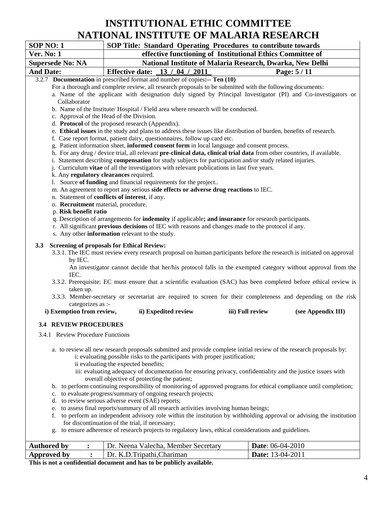|                                                                                                                                                                                                  |                                                                                                              | INA HUINAL INSTITUTE UF MALANIA NESEANUIT                                                                           |                  |                                                                                                                         |  |
|--------------------------------------------------------------------------------------------------------------------------------------------------------------------------------------------------|--------------------------------------------------------------------------------------------------------------|---------------------------------------------------------------------------------------------------------------------|------------------|-------------------------------------------------------------------------------------------------------------------------|--|
| SOP NO: 1                                                                                                                                                                                        | SOP Title: Standard Operating Procedures to contribute towards                                               |                                                                                                                     |                  |                                                                                                                         |  |
| <b>Ver. No: 1</b><br>effective functioning of Institutional Ethics Committee of<br>National Institute of Malaria Research, Dwarka, New Delhi                                                     |                                                                                                              |                                                                                                                     |                  |                                                                                                                         |  |
| <b>Supersede No: NA</b>                                                                                                                                                                          |                                                                                                              |                                                                                                                     |                  |                                                                                                                         |  |
| <b>And Date:</b>                                                                                                                                                                                 |                                                                                                              | Effective date: $\frac{13}{04}$ $\frac{04}{2011}$                                                                   |                  | Page: $5/11$                                                                                                            |  |
| 3.2.7 Documentation in prescribed format and number of copies:-- Ten (10)                                                                                                                        |                                                                                                              |                                                                                                                     |                  |                                                                                                                         |  |
|                                                                                                                                                                                                  |                                                                                                              | For a thorough and complete review, all research proposals to be submitted with the following documents:            |                  |                                                                                                                         |  |
|                                                                                                                                                                                                  | a. Name of the applicant with designation duly signed by Principal Investigator (PI) and Co-investigators or |                                                                                                                     |                  |                                                                                                                         |  |
| Collaborator                                                                                                                                                                                     |                                                                                                              |                                                                                                                     |                  |                                                                                                                         |  |
|                                                                                                                                                                                                  |                                                                                                              | b. Name of the Institute/Hospital / Field area where research will be conducted.                                    |                  |                                                                                                                         |  |
|                                                                                                                                                                                                  | c. Approval of the Head of the Division.<br>d. Protocol of the proposed research (Appendix).                 |                                                                                                                     |                  |                                                                                                                         |  |
|                                                                                                                                                                                                  |                                                                                                              | e. Ethical issues in the study and plans to address these issues like distribution of burden, benefits of research. |                  |                                                                                                                         |  |
|                                                                                                                                                                                                  |                                                                                                              | f. Case report format, patient dairy, questionnaires, follow up card etc.                                           |                  |                                                                                                                         |  |
|                                                                                                                                                                                                  |                                                                                                              | g. Patient information sheet, informed consent form in local language and consent process.                          |                  |                                                                                                                         |  |
|                                                                                                                                                                                                  |                                                                                                              |                                                                                                                     |                  | h. For any drug / device trial, all relevant pre-clinical data, clinical trial data from other countries, if available. |  |
|                                                                                                                                                                                                  |                                                                                                              | i. Statement describing compensation for study subjects for participation and/or study related injuries.            |                  |                                                                                                                         |  |
|                                                                                                                                                                                                  |                                                                                                              | j. Curriculum vitae of all the investigators with relevant publications in last five years.                         |                  |                                                                                                                         |  |
| k. Any regulatory clearances required.                                                                                                                                                           |                                                                                                              |                                                                                                                     |                  |                                                                                                                         |  |
|                                                                                                                                                                                                  |                                                                                                              | 1. Source of funding and financial requirements for the project                                                     |                  |                                                                                                                         |  |
|                                                                                                                                                                                                  |                                                                                                              | m. An agreement to report any serious side effects or adverse drug reactions to IEC.                                |                  |                                                                                                                         |  |
| n. Statement of conflicts of interest, if any.                                                                                                                                                   |                                                                                                              |                                                                                                                     |                  |                                                                                                                         |  |
| o. Recruitment material, procedure.                                                                                                                                                              |                                                                                                              |                                                                                                                     |                  |                                                                                                                         |  |
| p. Risk benefit ratio                                                                                                                                                                            |                                                                                                              |                                                                                                                     |                  |                                                                                                                         |  |
|                                                                                                                                                                                                  |                                                                                                              | q. Description of arrangements for <b>indemnity</b> if applicable; and <b>insurance</b> for research participants.  |                  |                                                                                                                         |  |
|                                                                                                                                                                                                  |                                                                                                              | r. All significant previous decisions of IEC with reasons and changes made to the protocol if any.                  |                  |                                                                                                                         |  |
| s. Any other information relevant to the study.                                                                                                                                                  |                                                                                                              |                                                                                                                     |                  |                                                                                                                         |  |
| <b>Screening of proposals for Ethical Review:</b><br>3.3                                                                                                                                         |                                                                                                              |                                                                                                                     |                  |                                                                                                                         |  |
|                                                                                                                                                                                                  |                                                                                                              |                                                                                                                     |                  | 3.3.1. The IEC must review every research proposal on human participants before the research is initiated on approval   |  |
| by IEC.                                                                                                                                                                                          |                                                                                                              |                                                                                                                     |                  |                                                                                                                         |  |
|                                                                                                                                                                                                  | An investigator cannot decide that her/his protocol falls in the exempted category without approval from the |                                                                                                                     |                  |                                                                                                                         |  |
| IEC.                                                                                                                                                                                             |                                                                                                              |                                                                                                                     |                  |                                                                                                                         |  |
|                                                                                                                                                                                                  |                                                                                                              |                                                                                                                     |                  | 3.3.2. Prerequisite: EC must ensure that a scientific evaluation (SAC) has been completed before ethical review is      |  |
| taken up.                                                                                                                                                                                        |                                                                                                              |                                                                                                                     |                  |                                                                                                                         |  |
|                                                                                                                                                                                                  |                                                                                                              |                                                                                                                     |                  | 3.3.3. Member-secretary or secretariat are required to screen for their completeness and depending on the risk          |  |
| categorizes as :-                                                                                                                                                                                |                                                                                                              |                                                                                                                     |                  |                                                                                                                         |  |
| i) Exemption from review,                                                                                                                                                                        |                                                                                                              | ii) Expedited review                                                                                                | iii) Full review | (see Appendix III)                                                                                                      |  |
| <b>3.4 REVIEW PROCEDURES</b>                                                                                                                                                                     |                                                                                                              |                                                                                                                     |                  |                                                                                                                         |  |
| 3.4.1 Review Procedure Functions                                                                                                                                                                 |                                                                                                              |                                                                                                                     |                  |                                                                                                                         |  |
|                                                                                                                                                                                                  |                                                                                                              |                                                                                                                     |                  |                                                                                                                         |  |
|                                                                                                                                                                                                  |                                                                                                              |                                                                                                                     |                  | a. to review all new research proposals submitted and provide complete initial review of the research proposals by:     |  |
|                                                                                                                                                                                                  |                                                                                                              | i: evaluating possible risks to the participants with proper justification;                                         |                  |                                                                                                                         |  |
|                                                                                                                                                                                                  | ii evaluating the expected benefits;                                                                         |                                                                                                                     |                  |                                                                                                                         |  |
|                                                                                                                                                                                                  |                                                                                                              |                                                                                                                     |                  | iii: evaluating adequacy of documentation for ensuring privacy, confidentiality and the justice issues with             |  |
|                                                                                                                                                                                                  | overall objective of protecting the patient;                                                                 |                                                                                                                     |                  |                                                                                                                         |  |
|                                                                                                                                                                                                  |                                                                                                              |                                                                                                                     |                  |                                                                                                                         |  |
| b. to perform continuing responsibility of monitoring of approved programs for ethical compliance until completion;<br>to evaluate progress/summary of ongoing research projects;<br>$c_{\cdot}$ |                                                                                                              |                                                                                                                     |                  |                                                                                                                         |  |
|                                                                                                                                                                                                  | d. to review serious adverse event (SAE) reports;                                                            |                                                                                                                     |                  |                                                                                                                         |  |
| e.                                                                                                                                                                                               |                                                                                                              | to assess final reports/summary of all research activities involving human beings;                                  |                  |                                                                                                                         |  |
| f.                                                                                                                                                                                               |                                                                                                              |                                                                                                                     |                  | to perform an independent advisory role within the institution by withholding approval or advising the institution      |  |
|                                                                                                                                                                                                  | for discontinuation of the trial, if necessary;                                                              |                                                                                                                     |                  |                                                                                                                         |  |
| g.                                                                                                                                                                                               | to ensure adherence of research projects to regulatory laws, ethical considerations and guidelines.          |                                                                                                                     |                  |                                                                                                                         |  |
|                                                                                                                                                                                                  |                                                                                                              |                                                                                                                     |                  |                                                                                                                         |  |
| <b>Authored by</b><br>$\ddot{\cdot}$                                                                                                                                                             |                                                                                                              | Dr. Neena Valecha, Member Secretary                                                                                 |                  | Date: 06-04-2010                                                                                                        |  |
| <b>Approved by</b><br>$\ddot{\cdot}$                                                                                                                                                             | Dr. K.D.Tripathi, Chariman                                                                                   |                                                                                                                     |                  | Date: 13-04-2011                                                                                                        |  |

**Approved by :** Dr. K.D.Tripathi,Chariman **This is not a confidential document and has to be publicly available.**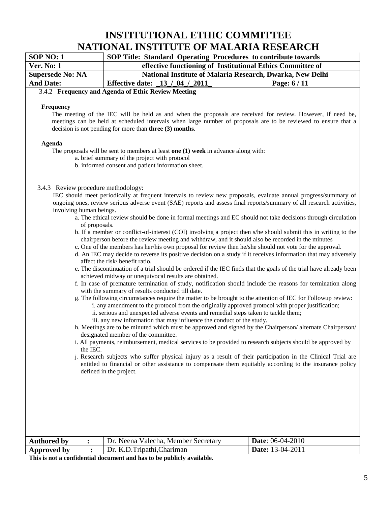|                         |                                                                                                                                                                                                                                                                                                                                                | INATIONAL INSTITUTE OF MALAMA NESEANCH                                                                                                                                                                                                                                                                                                                                                                                                                                                                                                                                                                                                                                                                                                                                                                                                                                                                                                                                                                                                                                                                                                                                                                                                                                                                                                                                                                                                                                                                                                                                                                                                                                                                                                                                                                                                                                                                                                                                                                                                                                                                                                               |                  |  |  |
|-------------------------|------------------------------------------------------------------------------------------------------------------------------------------------------------------------------------------------------------------------------------------------------------------------------------------------------------------------------------------------|------------------------------------------------------------------------------------------------------------------------------------------------------------------------------------------------------------------------------------------------------------------------------------------------------------------------------------------------------------------------------------------------------------------------------------------------------------------------------------------------------------------------------------------------------------------------------------------------------------------------------------------------------------------------------------------------------------------------------------------------------------------------------------------------------------------------------------------------------------------------------------------------------------------------------------------------------------------------------------------------------------------------------------------------------------------------------------------------------------------------------------------------------------------------------------------------------------------------------------------------------------------------------------------------------------------------------------------------------------------------------------------------------------------------------------------------------------------------------------------------------------------------------------------------------------------------------------------------------------------------------------------------------------------------------------------------------------------------------------------------------------------------------------------------------------------------------------------------------------------------------------------------------------------------------------------------------------------------------------------------------------------------------------------------------------------------------------------------------------------------------------------------------|------------------|--|--|
| SOP NO: 1               | SOP Title: Standard Operating Procedures to contribute towards<br>effective functioning of Institutional Ethics Committee of<br>Ver. No: 1                                                                                                                                                                                                     |                                                                                                                                                                                                                                                                                                                                                                                                                                                                                                                                                                                                                                                                                                                                                                                                                                                                                                                                                                                                                                                                                                                                                                                                                                                                                                                                                                                                                                                                                                                                                                                                                                                                                                                                                                                                                                                                                                                                                                                                                                                                                                                                                      |                  |  |  |
| <b>Supersede No: NA</b> |                                                                                                                                                                                                                                                                                                                                                | National Institute of Malaria Research, Dwarka, New Delhi                                                                                                                                                                                                                                                                                                                                                                                                                                                                                                                                                                                                                                                                                                                                                                                                                                                                                                                                                                                                                                                                                                                                                                                                                                                                                                                                                                                                                                                                                                                                                                                                                                                                                                                                                                                                                                                                                                                                                                                                                                                                                            |                  |  |  |
| <b>And Date:</b>        |                                                                                                                                                                                                                                                                                                                                                | Effective date: 13 / 04 / 2011<br>Page: 6 / 11                                                                                                                                                                                                                                                                                                                                                                                                                                                                                                                                                                                                                                                                                                                                                                                                                                                                                                                                                                                                                                                                                                                                                                                                                                                                                                                                                                                                                                                                                                                                                                                                                                                                                                                                                                                                                                                                                                                                                                                                                                                                                                       |                  |  |  |
|                         |                                                                                                                                                                                                                                                                                                                                                |                                                                                                                                                                                                                                                                                                                                                                                                                                                                                                                                                                                                                                                                                                                                                                                                                                                                                                                                                                                                                                                                                                                                                                                                                                                                                                                                                                                                                                                                                                                                                                                                                                                                                                                                                                                                                                                                                                                                                                                                                                                                                                                                                      |                  |  |  |
| <b>Frequency</b>        | 3.4.2 Frequency and Agenda of Ethic Review Meeting<br>The meeting of the IEC will be held as and when the proposals are received for review. However, if need be,<br>meetings can be held at scheduled intervals when large number of proposals are to be reviewed to ensure that a<br>decision is not pending for more than three (3) months. |                                                                                                                                                                                                                                                                                                                                                                                                                                                                                                                                                                                                                                                                                                                                                                                                                                                                                                                                                                                                                                                                                                                                                                                                                                                                                                                                                                                                                                                                                                                                                                                                                                                                                                                                                                                                                                                                                                                                                                                                                                                                                                                                                      |                  |  |  |
| <b>Agenda</b>           |                                                                                                                                                                                                                                                                                                                                                | The proposals will be sent to members at least one $(1)$ week in advance along with:<br>a. brief summary of the project with protocol<br>b. informed consent and patient information sheet.                                                                                                                                                                                                                                                                                                                                                                                                                                                                                                                                                                                                                                                                                                                                                                                                                                                                                                                                                                                                                                                                                                                                                                                                                                                                                                                                                                                                                                                                                                                                                                                                                                                                                                                                                                                                                                                                                                                                                          |                  |  |  |
|                         | involving human beings.<br>of proposals.<br>the IEC.                                                                                                                                                                                                                                                                                           | 3.4.3 Review procedure methodology:<br>IEC should meet periodically at frequent intervals to review new proposals, evaluate annual progress/summary of<br>ongoing ones, review serious adverse event (SAE) reports and assess final reports/summary of all research activities,<br>a. The ethical review should be done in formal meetings and EC should not take decisions through circulation<br>b. If a member or conflict-of-interest (COI) involving a project then s/he should submit this in writing to the<br>chairperson before the review meeting and withdraw, and it should also be recorded in the minutes<br>c. One of the members has her/his own proposal for review then he/she should not vote for the approval.<br>d. An IEC may decide to reverse its positive decision on a study if it receives information that may adversely<br>affect the risk/benefit ratio.<br>e. The discontinuation of a trial should be ordered if the IEC finds that the goals of the trial have already been<br>achieved midway or unequivocal results are obtained.<br>f. In case of premature termination of study, notification should include the reasons for termination along<br>with the summary of results conducted till date.<br>g. The following circumstances require the matter to be brought to the attention of IEC for Followup review:<br>i. any amendment to the protocol from the originally approved protocol with proper justification;<br>ii. serious and unexpected adverse events and remedial steps taken to tackle them;<br>iii. any new information that may influence the conduct of the study.<br>h. Meetings are to be minuted which must be approved and signed by the Chairperson/alternate Chairperson/<br>designated member of the committee.<br>i. All payments, reimbursement, medical services to be provided to research subjects should be approved by<br>j. Research subjects who suffer physical injury as a result of their participation in the Clinical Trial are<br>entitled to financial or other assistance to compensate them equitably according to the insurance policy<br>defined in the project. |                  |  |  |
|                         |                                                                                                                                                                                                                                                                                                                                                |                                                                                                                                                                                                                                                                                                                                                                                                                                                                                                                                                                                                                                                                                                                                                                                                                                                                                                                                                                                                                                                                                                                                                                                                                                                                                                                                                                                                                                                                                                                                                                                                                                                                                                                                                                                                                                                                                                                                                                                                                                                                                                                                                      |                  |  |  |
| <b>Authored by</b>      | $\ddot{\cdot}$                                                                                                                                                                                                                                                                                                                                 | Dr. Neena Valecha, Member Secretary                                                                                                                                                                                                                                                                                                                                                                                                                                                                                                                                                                                                                                                                                                                                                                                                                                                                                                                                                                                                                                                                                                                                                                                                                                                                                                                                                                                                                                                                                                                                                                                                                                                                                                                                                                                                                                                                                                                                                                                                                                                                                                                  | Date: 06-04-2010 |  |  |
| <b>Approved by</b>      | :                                                                                                                                                                                                                                                                                                                                              | Dr. K.D.Tripathi, Chariman                                                                                                                                                                                                                                                                                                                                                                                                                                                                                                                                                                                                                                                                                                                                                                                                                                                                                                                                                                                                                                                                                                                                                                                                                                                                                                                                                                                                                                                                                                                                                                                                                                                                                                                                                                                                                                                                                                                                                                                                                                                                                                                           | Date: 13-04-2011 |  |  |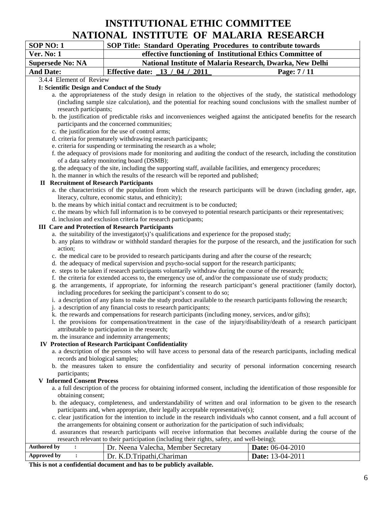# **INSTITUTIONAL ETHIC COMMITTEE**

| <b>TTOTAL PHILODIAL LIBRARY</b><br>NATIONAL INSTITUTE OF MALARIA RESEARCH                                                                                    |                                                                                                                                                                                                                                                                              |  |  |  |
|--------------------------------------------------------------------------------------------------------------------------------------------------------------|------------------------------------------------------------------------------------------------------------------------------------------------------------------------------------------------------------------------------------------------------------------------------|--|--|--|
| SOP NO: 1                                                                                                                                                    | SOP Title: Standard Operating Procedures to contribute towards                                                                                                                                                                                                               |  |  |  |
| <b>Ver. No: 1</b>                                                                                                                                            | effective functioning of Institutional Ethics Committee of                                                                                                                                                                                                                   |  |  |  |
| <b>Supersede No: NA</b>                                                                                                                                      | National Institute of Malaria Research, Dwarka, New Delhi                                                                                                                                                                                                                    |  |  |  |
| <b>And Date:</b>                                                                                                                                             | <b>Effective date:</b> 13 / 04 / 2011<br>Page: 7/11                                                                                                                                                                                                                          |  |  |  |
| 3.4.4 Element of Review                                                                                                                                      |                                                                                                                                                                                                                                                                              |  |  |  |
| I: Scientific Design and Conduct of the Study                                                                                                                |                                                                                                                                                                                                                                                                              |  |  |  |
|                                                                                                                                                              | a. the appropriateness of the study design in relation to the objectives of the study, the statistical methodology                                                                                                                                                           |  |  |  |
| research participants;                                                                                                                                       | (including sample size calculation), and the potential for reaching sound conclusions with the smallest number of                                                                                                                                                            |  |  |  |
|                                                                                                                                                              | b. the justification of predictable risks and inconveniences weighed against the anticipated benefits for the research<br>participants and the concerned communities;                                                                                                        |  |  |  |
|                                                                                                                                                              | c. the justification for the use of control arms;                                                                                                                                                                                                                            |  |  |  |
|                                                                                                                                                              | d. criteria for prematurely withdrawing research participants;                                                                                                                                                                                                               |  |  |  |
|                                                                                                                                                              | e. criteria for suspending or terminating the research as a whole;                                                                                                                                                                                                           |  |  |  |
|                                                                                                                                                              | f. the adequacy of provisions made for monitoring and auditing the conduct of the research, including the constitution                                                                                                                                                       |  |  |  |
|                                                                                                                                                              | of a data safety monitoring board (DSMB);                                                                                                                                                                                                                                    |  |  |  |
|                                                                                                                                                              | g. the adequacy of the site, including the supporting staff, available facilities, and emergency procedures;                                                                                                                                                                 |  |  |  |
|                                                                                                                                                              | h. the manner in which the results of the research will be reported and published;                                                                                                                                                                                           |  |  |  |
| <b>II</b> Recruitment of Research Participants                                                                                                               |                                                                                                                                                                                                                                                                              |  |  |  |
|                                                                                                                                                              | a. the characteristics of the population from which the research participants will be drawn (including gender, age,<br>literacy, culture, economic status, and ethnicity);                                                                                                   |  |  |  |
|                                                                                                                                                              | b. the means by which initial contact and recruitment is to be conducted;                                                                                                                                                                                                    |  |  |  |
| c. the means by which full information is to be conveyed to potential research participants or their representatives;                                        |                                                                                                                                                                                                                                                                              |  |  |  |
|                                                                                                                                                              | d. inclusion and exclusion criteria for research participants;                                                                                                                                                                                                               |  |  |  |
| <b>III</b> Care and Protection of Research Participants<br>a. the suitability of the investigator(s)'s qualifications and experience for the proposed study; |                                                                                                                                                                                                                                                                              |  |  |  |
| action;                                                                                                                                                      | b. any plans to withdraw or withhold standard therapies for the purpose of the research, and the justification for such                                                                                                                                                      |  |  |  |
|                                                                                                                                                              | c. the medical care to be provided to research participants during and after the course of the research;                                                                                                                                                                     |  |  |  |
|                                                                                                                                                              | d. the adequacy of medical supervision and psycho-social support for the research participants;                                                                                                                                                                              |  |  |  |
|                                                                                                                                                              | e. steps to be taken if research participants voluntarily withdraw during the course of the research;                                                                                                                                                                        |  |  |  |
|                                                                                                                                                              | f. the criteria for extended access to, the emergency use of, and/or the compassionate use of study products;                                                                                                                                                                |  |  |  |
|                                                                                                                                                              | g. the arrangements, if appropriate, for informing the research participant's general practitioner (family doctor),                                                                                                                                                          |  |  |  |
|                                                                                                                                                              | including procedures for seeking the participant's consent to do so;                                                                                                                                                                                                         |  |  |  |
|                                                                                                                                                              | i. a description of any plans to make the study product available to the research participants following the research;                                                                                                                                                       |  |  |  |
|                                                                                                                                                              | j. a description of any financial costs to research participants;                                                                                                                                                                                                            |  |  |  |
|                                                                                                                                                              | k. the rewards and compensations for research participants (including money, services, and/or gifts);<br>1. the provisions for compensation/treatment in the case of the injury/disability/death of a research participant<br>attributable to participation in the research; |  |  |  |
|                                                                                                                                                              | m. the insurance and indemnity arrangements;                                                                                                                                                                                                                                 |  |  |  |
|                                                                                                                                                              | <b>IV Protection of Research Participant Confidentiality</b>                                                                                                                                                                                                                 |  |  |  |
| records and biological samples;                                                                                                                              | a. a description of the persons who will have access to personal data of the research participants, including medical                                                                                                                                                        |  |  |  |
| participants;                                                                                                                                                | b. the measures taken to ensure the confidentiality and security of personal information concerning research                                                                                                                                                                 |  |  |  |
| <b>V</b> Informed Consent Process                                                                                                                            |                                                                                                                                                                                                                                                                              |  |  |  |
|                                                                                                                                                              | a. a full description of the process for obtaining informed consent, including the identification of those responsible for                                                                                                                                                   |  |  |  |
| obtaining consent;                                                                                                                                           |                                                                                                                                                                                                                                                                              |  |  |  |
|                                                                                                                                                              | b. the adequacy, completeness, and understandability of written and oral information to be given to the research                                                                                                                                                             |  |  |  |
|                                                                                                                                                              | participants and, when appropriate, their legally acceptable representative(s);                                                                                                                                                                                              |  |  |  |
|                                                                                                                                                              | c. clear justification for the intention to include in the research individuals who cannot consent, and a full account of                                                                                                                                                    |  |  |  |
|                                                                                                                                                              | the arrangements for obtaining consent or authorization for the participation of such individuals;<br>d. assurances that research participants will receive information that becomes available during the course of the                                                      |  |  |  |

| research relevant to their participation (including their rights, safety, and well-being); |  |                           |                         |  |
|--------------------------------------------------------------------------------------------|--|---------------------------|-------------------------|--|
| <b>Authored by</b><br><b>Date:</b> $06-04-2010$<br>Dr. Neena Valecha, Member Secretary     |  |                           |                         |  |
| Approved by                                                                                |  | Dr. K.D.Tripathi,Chariman | <b>Date:</b> 13-04-2011 |  |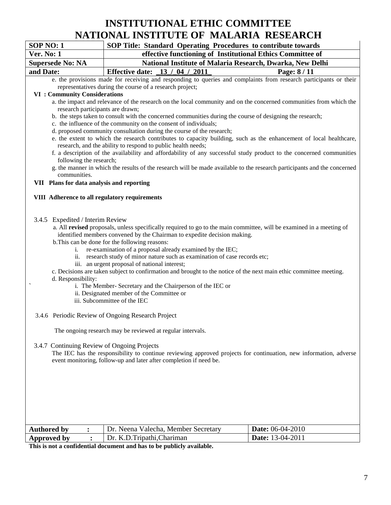| SOP NO: 1                                                                                                                                                                                                                                                                                                                                                                                                                                                                                                                                                                                                                                                                                                                                                                                                                                                                                                                                                                                                                                                                                                                                                                  | INATIONAL ING ITI CTE OF MALANIA NEGEANCH<br>SOP Title: Standard Operating Procedures to contribute towards                                                                                                                                                                                                                                                                                                                                                                                                                                                                                                                                                                                                                                                                                                  |                                                           |  |  |
|----------------------------------------------------------------------------------------------------------------------------------------------------------------------------------------------------------------------------------------------------------------------------------------------------------------------------------------------------------------------------------------------------------------------------------------------------------------------------------------------------------------------------------------------------------------------------------------------------------------------------------------------------------------------------------------------------------------------------------------------------------------------------------------------------------------------------------------------------------------------------------------------------------------------------------------------------------------------------------------------------------------------------------------------------------------------------------------------------------------------------------------------------------------------------|--------------------------------------------------------------------------------------------------------------------------------------------------------------------------------------------------------------------------------------------------------------------------------------------------------------------------------------------------------------------------------------------------------------------------------------------------------------------------------------------------------------------------------------------------------------------------------------------------------------------------------------------------------------------------------------------------------------------------------------------------------------------------------------------------------------|-----------------------------------------------------------|--|--|
| effective functioning of Institutional Ethics Committee of<br><b>Ver. No: 1</b>                                                                                                                                                                                                                                                                                                                                                                                                                                                                                                                                                                                                                                                                                                                                                                                                                                                                                                                                                                                                                                                                                            |                                                                                                                                                                                                                                                                                                                                                                                                                                                                                                                                                                                                                                                                                                                                                                                                              |                                                           |  |  |
| <b>Supersede No: NA</b>                                                                                                                                                                                                                                                                                                                                                                                                                                                                                                                                                                                                                                                                                                                                                                                                                                                                                                                                                                                                                                                                                                                                                    |                                                                                                                                                                                                                                                                                                                                                                                                                                                                                                                                                                                                                                                                                                                                                                                                              | National Institute of Malaria Research, Dwarka, New Delhi |  |  |
| and Date:                                                                                                                                                                                                                                                                                                                                                                                                                                                                                                                                                                                                                                                                                                                                                                                                                                                                                                                                                                                                                                                                                                                                                                  | Effective date: 13 / 04 / 2011                                                                                                                                                                                                                                                                                                                                                                                                                                                                                                                                                                                                                                                                                                                                                                               | Page: 8/11                                                |  |  |
| e. the provisions made for receiving and responding to queries and complaints from research participants or their<br>representatives during the course of a research project;<br><b>VI</b> : Community Considerations<br>a. the impact and relevance of the research on the local community and on the concerned communities from which the<br>research participants are drawn;<br>b. the steps taken to consult with the concerned communities during the course of designing the research;<br>c. the influence of the community on the consent of individuals;<br>d. proposed community consultation during the course of the research;<br>e. the extent to which the research contributes to capacity building, such as the enhancement of local healthcare,<br>research, and the ability to respond to public health needs;<br>f. a description of the availability and affordability of any successful study product to the concerned communities<br>following the research;<br>g. the manner in which the results of the research will be made available to the research participants and the concerned<br>communities.<br>VII Plans for data analysis and reporting |                                                                                                                                                                                                                                                                                                                                                                                                                                                                                                                                                                                                                                                                                                                                                                                                              |                                                           |  |  |
| d. Responsibility:                                                                                                                                                                                                                                                                                                                                                                                                                                                                                                                                                                                                                                                                                                                                                                                                                                                                                                                                                                                                                                                                                                                                                         | 3.4.5 Expedited / Interim Review<br>a. All revised proposals, unless specifically required to go to the main committee, will be examined in a meeting of<br>identified members convened by the Chairman to expedite decision making.<br>b. This can be done for the following reasons:<br>i. re-examination of a proposal already examined by the IEC;<br>ii. research study of minor nature such as examination of case records etc;<br>iii. an urgent proposal of national interest;<br>c. Decisions are taken subject to confirmation and brought to the notice of the next main ethic committee meeting.<br>i. The Member- Secretary and the Chairperson of the IEC or<br>ii. Designated member of the Committee or<br>iii. Subcommittee of the IEC<br>3.4.6 Periodic Review of Ongoing Research Project |                                                           |  |  |
| The ongoing research may be reviewed at regular intervals.<br>3.4.7 Continuing Review of Ongoing Projects<br>The IEC has the responsibility to continue reviewing approved projects for continuation, new information, adverse<br>event monitoring, follow-up and later after completion if need be.                                                                                                                                                                                                                                                                                                                                                                                                                                                                                                                                                                                                                                                                                                                                                                                                                                                                       |                                                                                                                                                                                                                                                                                                                                                                                                                                                                                                                                                                                                                                                                                                                                                                                                              |                                                           |  |  |
| <b>Authored by</b><br>:                                                                                                                                                                                                                                                                                                                                                                                                                                                                                                                                                                                                                                                                                                                                                                                                                                                                                                                                                                                                                                                                                                                                                    | Dr. Neena Valecha, Member Secretary                                                                                                                                                                                                                                                                                                                                                                                                                                                                                                                                                                                                                                                                                                                                                                          | Date: 06-04-2010                                          |  |  |
| Dr. K.D.Tripathi, Chariman<br>Date: 13-04-2011<br><b>Approved by</b><br>$\ddot{\cdot}$                                                                                                                                                                                                                                                                                                                                                                                                                                                                                                                                                                                                                                                                                                                                                                                                                                                                                                                                                                                                                                                                                     |                                                                                                                                                                                                                                                                                                                                                                                                                                                                                                                                                                                                                                                                                                                                                                                                              |                                                           |  |  |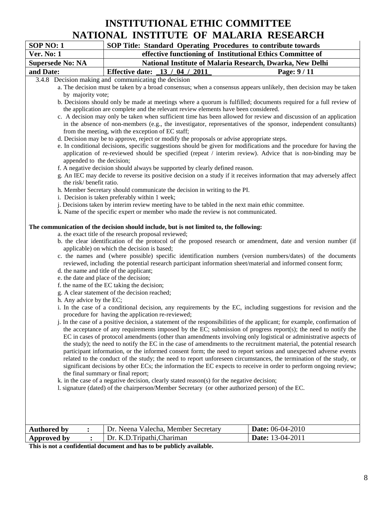| <b>SOP NO: 1</b>                                                                                                                                                                                                                                                                                                                                                                                                                                                                                                                                                                                                                                                                                                                                                                                                                                                                                                                                                                                                                                                                                                                                                                                                                                                      | SOP Title: Standard Operating Procedures to contribute towards                                                                                                                                                                                                                                                                                                                                                                                                                                                                                                                                                                                                                                                                      |                         |  |  |
|-----------------------------------------------------------------------------------------------------------------------------------------------------------------------------------------------------------------------------------------------------------------------------------------------------------------------------------------------------------------------------------------------------------------------------------------------------------------------------------------------------------------------------------------------------------------------------------------------------------------------------------------------------------------------------------------------------------------------------------------------------------------------------------------------------------------------------------------------------------------------------------------------------------------------------------------------------------------------------------------------------------------------------------------------------------------------------------------------------------------------------------------------------------------------------------------------------------------------------------------------------------------------|-------------------------------------------------------------------------------------------------------------------------------------------------------------------------------------------------------------------------------------------------------------------------------------------------------------------------------------------------------------------------------------------------------------------------------------------------------------------------------------------------------------------------------------------------------------------------------------------------------------------------------------------------------------------------------------------------------------------------------------|-------------------------|--|--|
| <b>Ver. No: 1</b>                                                                                                                                                                                                                                                                                                                                                                                                                                                                                                                                                                                                                                                                                                                                                                                                                                                                                                                                                                                                                                                                                                                                                                                                                                                     | effective functioning of Institutional Ethics Committee of                                                                                                                                                                                                                                                                                                                                                                                                                                                                                                                                                                                                                                                                          |                         |  |  |
| <b>Supersede No: NA</b>                                                                                                                                                                                                                                                                                                                                                                                                                                                                                                                                                                                                                                                                                                                                                                                                                                                                                                                                                                                                                                                                                                                                                                                                                                               | National Institute of Malaria Research, Dwarka, New Delhi                                                                                                                                                                                                                                                                                                                                                                                                                                                                                                                                                                                                                                                                           |                         |  |  |
| and Date:                                                                                                                                                                                                                                                                                                                                                                                                                                                                                                                                                                                                                                                                                                                                                                                                                                                                                                                                                                                                                                                                                                                                                                                                                                                             | Effective date: $\frac{13}{4}$ 04 / 2011                                                                                                                                                                                                                                                                                                                                                                                                                                                                                                                                                                                                                                                                                            | Page: 9/11              |  |  |
|                                                                                                                                                                                                                                                                                                                                                                                                                                                                                                                                                                                                                                                                                                                                                                                                                                                                                                                                                                                                                                                                                                                                                                                                                                                                       | 3.4.8 Decision making and communicating the decision                                                                                                                                                                                                                                                                                                                                                                                                                                                                                                                                                                                                                                                                                |                         |  |  |
|                                                                                                                                                                                                                                                                                                                                                                                                                                                                                                                                                                                                                                                                                                                                                                                                                                                                                                                                                                                                                                                                                                                                                                                                                                                                       | a. The decision must be taken by a broad consensus; when a consensus appears unlikely, then decision may be taken                                                                                                                                                                                                                                                                                                                                                                                                                                                                                                                                                                                                                   |                         |  |  |
| by majority vote;                                                                                                                                                                                                                                                                                                                                                                                                                                                                                                                                                                                                                                                                                                                                                                                                                                                                                                                                                                                                                                                                                                                                                                                                                                                     |                                                                                                                                                                                                                                                                                                                                                                                                                                                                                                                                                                                                                                                                                                                                     |                         |  |  |
|                                                                                                                                                                                                                                                                                                                                                                                                                                                                                                                                                                                                                                                                                                                                                                                                                                                                                                                                                                                                                                                                                                                                                                                                                                                                       | b. Decisions should only be made at meetings where a quorum is fulfilled; documents required for a full review of                                                                                                                                                                                                                                                                                                                                                                                                                                                                                                                                                                                                                   |                         |  |  |
|                                                                                                                                                                                                                                                                                                                                                                                                                                                                                                                                                                                                                                                                                                                                                                                                                                                                                                                                                                                                                                                                                                                                                                                                                                                                       | the application are complete and the relevant review elements have been considered.                                                                                                                                                                                                                                                                                                                                                                                                                                                                                                                                                                                                                                                 |                         |  |  |
|                                                                                                                                                                                                                                                                                                                                                                                                                                                                                                                                                                                                                                                                                                                                                                                                                                                                                                                                                                                                                                                                                                                                                                                                                                                                       | c. A decision may only be taken when sufficient time has been allowed for review and discussion of an application<br>in the absence of non-members (e.g., the investigator, representatives of the sponsor, independent consultants)<br>from the meeting, with the exception of EC staff;                                                                                                                                                                                                                                                                                                                                                                                                                                           |                         |  |  |
|                                                                                                                                                                                                                                                                                                                                                                                                                                                                                                                                                                                                                                                                                                                                                                                                                                                                                                                                                                                                                                                                                                                                                                                                                                                                       | d. Decision may be to approve, reject or modify the proposals or advise appropriate steps.                                                                                                                                                                                                                                                                                                                                                                                                                                                                                                                                                                                                                                          |                         |  |  |
|                                                                                                                                                                                                                                                                                                                                                                                                                                                                                                                                                                                                                                                                                                                                                                                                                                                                                                                                                                                                                                                                                                                                                                                                                                                                       | e. In conditional decisions, specific suggestions should be given for modifications and the procedure for having the                                                                                                                                                                                                                                                                                                                                                                                                                                                                                                                                                                                                                |                         |  |  |
| appended to the decision;                                                                                                                                                                                                                                                                                                                                                                                                                                                                                                                                                                                                                                                                                                                                                                                                                                                                                                                                                                                                                                                                                                                                                                                                                                             | application of re-reviewed should be specified (repeat / interim review). Advice that is non-binding may be                                                                                                                                                                                                                                                                                                                                                                                                                                                                                                                                                                                                                         |                         |  |  |
|                                                                                                                                                                                                                                                                                                                                                                                                                                                                                                                                                                                                                                                                                                                                                                                                                                                                                                                                                                                                                                                                                                                                                                                                                                                                       | f. A negative decision should always be supported by clearly defined reason.                                                                                                                                                                                                                                                                                                                                                                                                                                                                                                                                                                                                                                                        |                         |  |  |
|                                                                                                                                                                                                                                                                                                                                                                                                                                                                                                                                                                                                                                                                                                                                                                                                                                                                                                                                                                                                                                                                                                                                                                                                                                                                       | g. An IEC may decide to reverse its positive decision on a study if it receives information that may adversely affect                                                                                                                                                                                                                                                                                                                                                                                                                                                                                                                                                                                                               |                         |  |  |
| the risk/benefit ratio.                                                                                                                                                                                                                                                                                                                                                                                                                                                                                                                                                                                                                                                                                                                                                                                                                                                                                                                                                                                                                                                                                                                                                                                                                                               |                                                                                                                                                                                                                                                                                                                                                                                                                                                                                                                                                                                                                                                                                                                                     |                         |  |  |
|                                                                                                                                                                                                                                                                                                                                                                                                                                                                                                                                                                                                                                                                                                                                                                                                                                                                                                                                                                                                                                                                                                                                                                                                                                                                       | h. Member Secretary should communicate the decision in writing to the PI.                                                                                                                                                                                                                                                                                                                                                                                                                                                                                                                                                                                                                                                           |                         |  |  |
|                                                                                                                                                                                                                                                                                                                                                                                                                                                                                                                                                                                                                                                                                                                                                                                                                                                                                                                                                                                                                                                                                                                                                                                                                                                                       | i. Decision is taken preferably within 1 week;                                                                                                                                                                                                                                                                                                                                                                                                                                                                                                                                                                                                                                                                                      |                         |  |  |
|                                                                                                                                                                                                                                                                                                                                                                                                                                                                                                                                                                                                                                                                                                                                                                                                                                                                                                                                                                                                                                                                                                                                                                                                                                                                       | j. Decisions taken by interim review meeting have to be tabled in the next main ethic committee.                                                                                                                                                                                                                                                                                                                                                                                                                                                                                                                                                                                                                                    |                         |  |  |
|                                                                                                                                                                                                                                                                                                                                                                                                                                                                                                                                                                                                                                                                                                                                                                                                                                                                                                                                                                                                                                                                                                                                                                                                                                                                       | k. Name of the specific expert or member who made the review is not communicated.                                                                                                                                                                                                                                                                                                                                                                                                                                                                                                                                                                                                                                                   |                         |  |  |
| h. Any advice by the EC;                                                                                                                                                                                                                                                                                                                                                                                                                                                                                                                                                                                                                                                                                                                                                                                                                                                                                                                                                                                                                                                                                                                                                                                                                                              | The communication of the decision should include, but is not limited to, the following:<br>a. the exact title of the research proposal reviewed;<br>b. the clear identification of the protocol of the proposed research or amendment, date and version number (if<br>applicable) on which the decision is based;<br>c. the names and (where possible) specific identification numbers (version numbers/dates) of the documents<br>reviewed, including the potential research participant information sheet/material and informed consent form;<br>d. the name and title of the applicant;<br>e. the date and place of the decision;<br>f. the name of the EC taking the decision;<br>g. A clear statement of the decision reached; |                         |  |  |
| i. In the case of a conditional decision, any requirements by the EC, including suggestions for revision and the<br>procedure for having the application re-reviewed;<br>j. In the case of a positive decision, a statement of the responsibilities of the applicant; for example, confirmation of<br>the acceptance of any requirements imposed by the EC; submission of progress report(s); the need to notify the<br>EC in cases of protocol amendments (other than amendments involving only logistical or administrative aspects of<br>the study); the need to notify the EC in the case of amendments to the recruitment material, the potential research<br>participant information, or the informed consent form; the need to report serious and unexpected adverse events<br>related to the conduct of the study; the need to report unforeseen circumstances, the termination of the study, or<br>significant decisions by other ECs; the information the EC expects to receive in order to perform ongoing review;<br>the final summary or final report;<br>k. in the case of a negative decision, clearly stated reason(s) for the negative decision;<br>1. signature (dated) of the chairperson/Member Secretary (or other authorized person) of the EC. |                                                                                                                                                                                                                                                                                                                                                                                                                                                                                                                                                                                                                                                                                                                                     |                         |  |  |
| <b>Authored by</b><br>$\ddot{\cdot}$                                                                                                                                                                                                                                                                                                                                                                                                                                                                                                                                                                                                                                                                                                                                                                                                                                                                                                                                                                                                                                                                                                                                                                                                                                  | Dr. Neena Valecha, Member Secretary                                                                                                                                                                                                                                                                                                                                                                                                                                                                                                                                                                                                                                                                                                 | <b>Date:</b> 06-04-2010 |  |  |
| <b>Approved by</b><br>$\ddot{\cdot}$                                                                                                                                                                                                                                                                                                                                                                                                                                                                                                                                                                                                                                                                                                                                                                                                                                                                                                                                                                                                                                                                                                                                                                                                                                  | Dr. K.D.Tripathi, Chariman                                                                                                                                                                                                                                                                                                                                                                                                                                                                                                                                                                                                                                                                                                          | <b>Date:</b> 13-04-2011 |  |  |
|                                                                                                                                                                                                                                                                                                                                                                                                                                                                                                                                                                                                                                                                                                                                                                                                                                                                                                                                                                                                                                                                                                                                                                                                                                                                       |                                                                                                                                                                                                                                                                                                                                                                                                                                                                                                                                                                                                                                                                                                                                     |                         |  |  |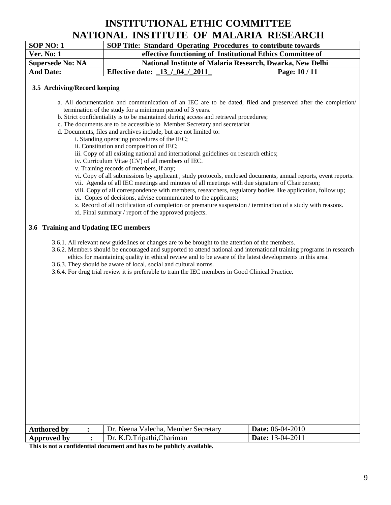| SOP NO: 1                             | NATIONAL INSTITUTE OF MALARIA RESEARCH                                                                                                                                                                                                                                                                                                                                                                                                                                                                                                                                                                                                                                                                                                                                                                                                                                                                                                                                                                                                                                                                                                                                                                                                                                                                                                                                                                                                                                                                                                                                                                                                                                                                                                                                                                                                         |                                                                |  |  |
|---------------------------------------|------------------------------------------------------------------------------------------------------------------------------------------------------------------------------------------------------------------------------------------------------------------------------------------------------------------------------------------------------------------------------------------------------------------------------------------------------------------------------------------------------------------------------------------------------------------------------------------------------------------------------------------------------------------------------------------------------------------------------------------------------------------------------------------------------------------------------------------------------------------------------------------------------------------------------------------------------------------------------------------------------------------------------------------------------------------------------------------------------------------------------------------------------------------------------------------------------------------------------------------------------------------------------------------------------------------------------------------------------------------------------------------------------------------------------------------------------------------------------------------------------------------------------------------------------------------------------------------------------------------------------------------------------------------------------------------------------------------------------------------------------------------------------------------------------------------------------------------------|----------------------------------------------------------------|--|--|
| <b>Ver. No: 1</b>                     | SOP Title: Standard Operating Procedures to contribute towards<br>effective functioning of Institutional Ethics Committee of<br>National Institute of Malaria Research, Dwarka, New Delhi                                                                                                                                                                                                                                                                                                                                                                                                                                                                                                                                                                                                                                                                                                                                                                                                                                                                                                                                                                                                                                                                                                                                                                                                                                                                                                                                                                                                                                                                                                                                                                                                                                                      |                                                                |  |  |
| <b>Supersede No: NA</b>               |                                                                                                                                                                                                                                                                                                                                                                                                                                                                                                                                                                                                                                                                                                                                                                                                                                                                                                                                                                                                                                                                                                                                                                                                                                                                                                                                                                                                                                                                                                                                                                                                                                                                                                                                                                                                                                                |                                                                |  |  |
| <b>And Date:</b>                      | <b>Effective date:</b><br>13 / 04 / 2011                                                                                                                                                                                                                                                                                                                                                                                                                                                                                                                                                                                                                                                                                                                                                                                                                                                                                                                                                                                                                                                                                                                                                                                                                                                                                                                                                                                                                                                                                                                                                                                                                                                                                                                                                                                                       | Page: 10 / 11                                                  |  |  |
| 3.5 Archiving/Record keeping          |                                                                                                                                                                                                                                                                                                                                                                                                                                                                                                                                                                                                                                                                                                                                                                                                                                                                                                                                                                                                                                                                                                                                                                                                                                                                                                                                                                                                                                                                                                                                                                                                                                                                                                                                                                                                                                                |                                                                |  |  |
| 3.6 Training and Updating IEC members | a. All documentation and communication of an IEC are to be dated, filed and preserved after the completion/<br>termination of the study for a minimum period of 3 years.<br>b. Strict confidentiality is to be maintained during access and retrieval procedures;<br>c. The documents are to be accessible to Member Secretary and secretariat<br>d. Documents, files and archives include, but are not limited to:<br>i. Standing operating procedures of the IEC;<br>ii. Constitution and composition of IEC;<br>iii. Copy of all existing national and international guidelines on research ethics;<br>iv. Curriculum Vitae (CV) of all members of IEC.<br>v. Training records of members, if any;<br>vi. Copy of all submissions by applicant, study protocols, enclosed documents, annual reports, event reports.<br>vii. Agenda of all IEC meetings and minutes of all meetings with due signature of Chairperson;<br>viii. Copy of all correspondence with members, researchers, regulatory bodies like application, follow up;<br>ix. Copies of decisions, advise communicated to the applicants;<br>x. Record of all notification of completion or premature suspension / termination of a study with reasons.<br>xi. Final summary / report of the approved projects.<br>3.6.1. All relevant new guidelines or changes are to be brought to the attention of the members.<br>3.6.2. Members should be encouraged and supported to attend national and international training programs in research<br>ethics for maintaining quality in ethical review and to be aware of the latest developments in this area.<br>3.6.3. They should be aware of local, social and cultural norms.<br>3.6.4. For drug trial review it is preferable to train the IEC members in Good Clinical Practice.<br>$D_n$ , Massey <i>Malasha, Mandrea Ca</i> | $\mathbf{D}_{\text{obs}}$ , $\alpha \in \mathbb{A}$ , $\alpha$ |  |  |

| <b>Authored by</b> | Dr. Neena Valecha, Member Secretary | <b>Date:</b> $06-04-2010$ |
|--------------------|-------------------------------------|---------------------------|
| Approved by        | Dr. K.D.Tripathi,Chariman           | <b>Date:</b> 13-04-2011   |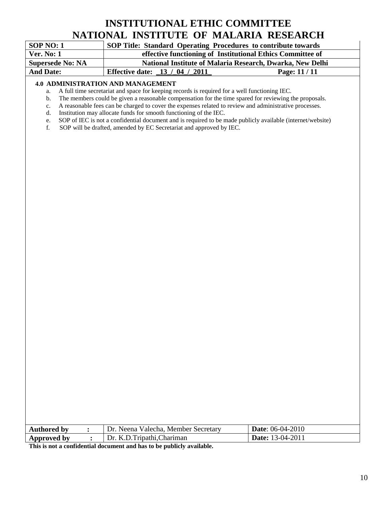| SOP NO: 1               | SOP Title: Standard Operating Procedures to contribute towards |               |  |
|-------------------------|----------------------------------------------------------------|---------------|--|
| <b>Ver. No: 1</b>       | effective functioning of Institutional Ethics Committee of     |               |  |
| <b>Supersede No: NA</b> | National Institute of Malaria Research, Dwarka, New Delhi      |               |  |
| <b>And Date:</b>        | <b>Effective date:</b> 13 / 04 / 2011                          | Page: 11 / 11 |  |

# **4.0 ADMINISTRATION AND MANAGEMENT**

a. A full time secretariat and space for keeping records is required for a well functioning IEC.

b. The members could be given a reasonable compensation for the time spared for reviewing the proposals.

c. A reasonable fees can be charged to cover the expenses related to review and administrative processes.

d. Institution may allocate funds for smooth functioning of the IEC.

e. SOP of IEC is not a confidential document and is required to be made publicly available (internet/website)

f. SOP will be drafted, amended by EC Secretariat and approved by IEC.

| <b>Authored by</b> | Dr. Neena Valecha, Member Secretary | <b>Date:</b> $06-04-2010$ |
|--------------------|-------------------------------------|---------------------------|
| <b>Approved by</b> | Dr. K.D.Tripathi,Chariman           | <b>Date:</b> 13-04-2011   |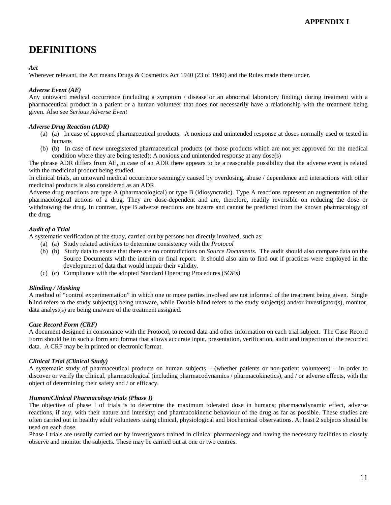# **DEFINITIONS**

#### *Act*

Wherever relevant, the Act means Drugs & Cosmetics Act 1940 (23 of 1940) and the Rules made there under.

#### *Adverse Event (AE)*

Any untoward medical occurrence (including a symptom / disease or an abnormal laboratory finding) during treatment with a pharmaceutical product in a patient or a human volunteer that does not necessarily have a relationship with the treatment being given. Also see *Serious Adverse Event*

#### *Adverse Drug Reaction (ADR)*

- (a) (a) In case of approved pharmaceutical products: A noxious and unintended response at doses normally used or tested in humans
- (b) (b) In case of new unregistered pharmaceutical products (or those products which are not yet approved for the medical condition where they are being tested): A noxious and unintended response at any dose(s)

The phrase ADR differs from AE, in case of an ADR there appears to be a reasonable possibility that the adverse event is related with the medicinal product being studied.

In clinical trials, an untoward medical occurrence seemingly caused by overdosing, abuse / dependence and interactions with other medicinal products is also considered as an ADR.

Adverse drug reactions are type A (pharmacological) or type B (idiosyncratic). Type A reactions represent an augmentation of the pharmacological actions of a drug. They are dose-dependent and are, therefore, readily reversible on reducing the dose or withdrawing the drug. In contrast, type B adverse reactions are bizarre and cannot be predicted from the known pharmacology of the drug.

#### *Audit of a Trial*

A systematic verification of the study, carried out by persons not directly involved, such as:

- (a) (a) Study related activities to determine consistency with the *Protocol*
- (b) (b) Study data to ensure that there are no contradictions on *Source Documents*. The audit should also compare data on the Source Documents with the interim or final report. It should also aim to find out if practices were employed in the development of data that would impair their validity.
- (c) (c) Compliance with the adopted Standard Operating Procedures (*SOPs)*

#### *Blinding / Masking*

A method of "control experimentation" in which one or more parties involved are not informed of the treatment being given. Single blind refers to the study subject(s) being unaware, while Double blind refers to the study subject(s) and/or investigator(s), monitor, data analyst(s) are being unaware of the treatment assigned.

#### *Case Record Form (CRF)*

A document designed in consonance with the Protocol, to record data and other information on each trial subject. The Case Record Form should be in such a form and format that allows accurate input, presentation, verification, audit and inspection of the recorded data. A CRF may be in printed or electronic format.

#### *Clinical Trial (Clinical Study)*

A systematic study of pharmaceutical products on human subjects – (whether patients or non-patient volunteers) – in order to discover or verify the clinical, pharmacological (including pharmacodynamics / pharmacokinetics), and / or adverse effects, with the object of determining their safety and / or efficacy.

#### *Human/Clinical Pharmacology trials (Phase I)*

The objective of phase I of trials is to determine the maximum tolerated dose in humans; pharmacodynamic effect, adverse reactions, if any, with their nature and intensity; and pharmacokinetic behaviour of the drug as far as possible. These studies are often carried out in healthy adult volunteers using clinical, physiological and biochemical observations. At least 2 subjects should be used on each dose.

Phase I trials are usually carried out by investigators trained in clinical pharmacology and having the necessary facilities to closely observe and monitor the subjects. These may be carried out at one or two centres.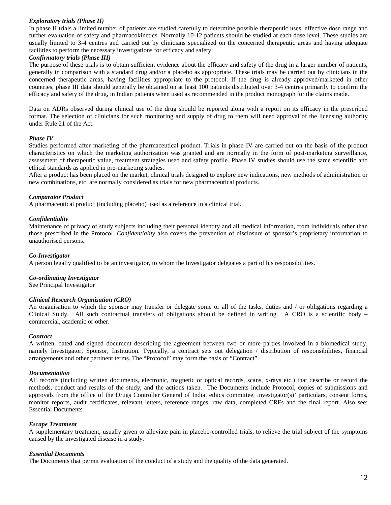#### *Exploratory trials (Phase II)*

In phase II trials a limited number of patients are studied carefully to determine possible therapeutic uses, effective dose range and further evaluation of safety and pharmacokinetics. Normally 10-12 patients should be studied at each dose level. These studies are usually limited to 3-4 centres and carried out by clinicians specialized on the concerned therapeutic areas and having adequate facilities to perform the necessary investigations for efficacy and safety.

#### *Confirmatory trials (Phase III)*

The purpose of these trials is to obtain sufficient evidence about the efficacy and safety of the drug in a larger number of patients, generally in comparison with a standard drug and/or a placebo as appropriate. These trials may be carried out by clinicians in the concerned therapeutic areas, having facilities appropriate to the protocol. If the drug is already approved/marketed in other countries, phase III data should generally be obtained on at least 100 patients distributed over 3-4 centres primarily to confirm the efficacy and safety of the drug, in Indian patients when used as recommended in the product monograph for the claims made.

Data on ADRs observed during clinical use of the drug should be reported along with a report on its efficacy in the prescribed format. The selection of clinicians for such monitoring and supply of drug to them will need approval of the licensing authority under Rule 21 of the Act.

#### *Phase IV*

Studies performed after marketing of the pharmaceutical product. Trials in phase IV are carried out on the basis of the product characteristics on which the marketing authorization was granted and are normally in the form of post-marketing surveillance, assessment of therapeutic value, treatment strategies used and safety profile. Phase IV studies should use the same scientific and ethical standards as applied in pre-marketing studies.

After a product has been placed on the market, clinical trials designed to explore new indications, new methods of administration or new combinations, etc. are normally considered as trials for new pharmaceutical products.

#### *Comparator Product*

A pharmaceutical product (including placebo) used as a reference in a clinical trial.

#### *Confidentiality*

Maintenance of privacy of study subjects including their personal identity and all medical information, from individuals other than those prescribed in the Protocol. *Confidentiality* also covers the prevention of disclosure of sponsor's proprietary information to unauthorised persons.

#### *Co-Investigator*

A person legally qualified to be an investigator, to whom the Investigator delegates a part of his responsibilities.

#### *Co-ordinating Investigator*

See Principal Investigator

#### *Clinical Research Organisation (CRO)*

An organisation to which the sponsor may transfer or delegate some or all of the tasks, duties and / or obligations regarding a Clinical Study. All such contractual transfers of obligations should be defined in writing. A CRO is a scientific body – commercial, academic or other.

#### *Contract*

A written, dated and signed document describing the agreement between two or more parties involved in a biomedical study, namely Investigator, Sponsor, Institution. Typically, a contract sets out delegation / distribution of responsibilities, financial arrangements and other pertinent terms. The "Protocol" may form the basis of "Contract".

#### *Documentation*

All records (including written documents, electronic, magnetic or optical records, scans, x-rays etc.) that describe or record the methods, conduct and results of the study, and the actions taken. The Documents include Protocol, copies of submissions and approvals from the office of the Drugs Controller General of India, ethics committee, investigator(s)' particulars, consent forms, monitor reports, audit certificates, relevant letters, reference ranges, raw data, completed CRFs and the final report. Also see: Essential Documents

#### *Escape Treatment*

A supplementary treatment, usually given to alleviate pain in placebo-controlled trials, to relieve the trial subject of the symptoms caused by the investigated disease in a study.

#### *Essential Documents*

The Documents that permit evaluation of the conduct of a study and the quality of the data generated.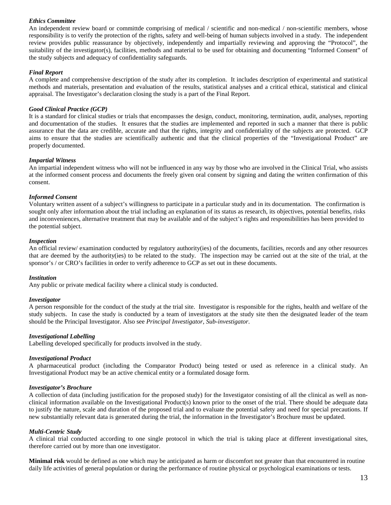### *Ethics Committee*

An independent review board or committde comprising of medical / scientific and non-medical / non-scientific members, whose responsibility is to verify the protection of the rights, safety and well-being of human subjects involved in a study. The independent review provides public reassurance by objectively, independently and impartially reviewing and approving the "Protocol", the suitability of the investigator(s), facilities, methods and material to be used for obtaining and documenting "Informed Consent" of the study subjects and adequacy of confidentiality safeguards.

#### *Final Report*

A complete and comprehensive description of the study after its completion. It includes description of experimental and statistical methods and materials, presentation and evaluation of the results, statistical analyses and a critical ethical, statistical and clinical appraisal. The Investigator's declaration closing the study is a part of the Final Report.

#### *Good Clinical Practice (GCP)*

It is a standard for clinical studies or trials that encompasses the design, conduct, monitoring, termination, audit, analyses, reporting and documentation of the studies. It ensures that the studies are implemented and reported in such a manner that there is public assurance that the data are credible, accurate and that the rights, integrity and confidentiality of the subjects are protected. GCP aims to ensure that the studies are scientifically authentic and that the clinical properties of the "Investigational Product" are properly documented.

#### *Impartial Witness*

An impartial independent witness who will not be influenced in any way by those who are involved in the Clinical Trial, who assists at the informed consent process and documents the freely given oral consent by signing and dating the written confirmation of this consent.

#### *Informed Consent*

Voluntary written assent of a subject's willingness to participate in a particular study and in its documentation. The confirmation is sought only after information about the trial including an explanation of its status as research, its objectives, potential benefits, risks and inconveniences, alternative treatment that may be available and of the subject's rights and responsibilities has been provided to the potential subject.

#### *Inspection*

An official review/ examination conducted by regulatory authority(ies) of the documents, facilities, records and any other resources that are deemed by the authority(ies) to be related to the study. The inspection may be carried out at the site of the trial, at the sponsor's / or CRO's facilities in order to verify adherence to GCP as set out in these documents.

#### *Institution*

Any public or private medical facility where a clinical study is conducted.

#### *Investigator*

A person responsible for the conduct of the study at the trial site. Investigator is responsible for the rights, health and welfare of the study subjects. In case the study is conducted by a team of investigators at the study site then the designated leader of the team should be the Principal Investigator. Also see *Principal Investigator*, *Sub-investigator*.

#### *Investigational Labelling*

Labelling developed specifically for products involved in the study.

#### *Investigational Product*

A pharmaceutical product (including the Comparator Product) being tested or used as reference in a clinical study. An Investigational Product may be an active chemical entity or a formulated dosage form.

#### *Investigator's Brochure*

A collection of data (including justification for the proposed study) for the Investigator consisting of all the clinical as well as nonclinical information available on the Investigational Product(s) known prior to the onset of the trial. There should be adequate data to justify the nature, scale and duration of the proposed trial and to evaluate the potential safety and need for special precautions. If new substantially relevant data is generated during the trial, the information in the Investigator's Brochure must be updated.

#### *Multi-Centric Study*

A clinical trial conducted according to one single protocol in which the trial is taking place at different investigational sites, therefore carried out by more than one investigator.

**Minimal risk** would be defined as one which may be anticipated as harm or discomfort not greater than that encountered in routine daily life activities of general population or during the performance of routine physical or psychological examinations or tests.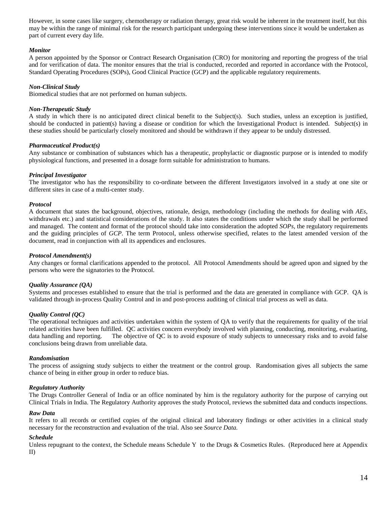However, in some cases like surgery, chemotherapy or radiation therapy, great risk would be inherent in the treatment itself, but this may be within the range of minimal risk for the research participant undergoing these interventions since it would be undertaken as part of current every day life.

#### *Monitor*

A person appointed by the Sponsor or Contract Research Organisation (CRO) for monitoring and reporting the progress of the trial and for verification of data. The monitor ensures that the trial is conducted, recorded and reported in accordance with the Protocol, Standard Operating Procedures (SOPs), Good Clinical Practice (GCP) and the applicable regulatory requirements.

#### *Non-Clinical Study*

Biomedical studies that are not performed on human subjects.

#### *Non-Therapeutic Study*

A study in which there is no anticipated direct clinical benefit to the Subject(s). Such studies, unless an exception is justified, should be conducted in patient(s) having a disease or condition for which the Investigational Product is intended. Subject(s) in these studies should be particularly closely monitored and should be withdrawn if they appear to be unduly distressed.

#### *Pharmaceutical Product(s)*

Any substance or combination of substances which has a therapeutic, prophylactic or diagnostic purpose or is intended to modify physiological functions, and presented in a dosage form suitable for administration to humans.

#### *Principal Investigator*

The investigator who has the responsibility to co-ordinate between the different Investigators involved in a study at one site or different sites in case of a multi-center study.

#### *Protocol*

A document that states the background, objectives, rationale, design, methodology (including the methods for dealing with *AEs*, withdrawals etc.) and statistical considerations of the study. It also states the conditions under which the study shall be performed and managed. The content and format of the protocol should take into consideration the adopted *SOPs*, the regulatory requirements and the guiding principles of *GCP*. The term Protocol, unless otherwise specified, relates to the latest amended version of the document, read in conjunction with all its appendices and enclosures.

#### *Protocol Amendment(s)*

Any changes or formal clarifications appended to the protocol. All Protocol Amendments should be agreed upon and signed by the persons who were the signatories to the Protocol.

#### *Quality Assurance (QA)*

Systems and processes established to ensure that the trial is performed and the data are generated in compliance with GCP. QA is validated through in-process Quality Control and in and post-process auditing of clinical trial process as well as data.

#### *Quality Control (QC)*

The operational techniques and activities undertaken within the system of QA to verify that the requirements for quality of the trial related activities have been fulfilled. QC activities concern everybody involved with planning, conducting, monitoring, evaluating, data handling and reporting. The objective of QC is to avoid exposure of study subjects to unnecessary risks and to avoid false conclusions being drawn from unreliable data.

#### *Randomisation*

The process of assigning study subjects to either the treatment or the control group. Randomisation gives all subjects the same chance of being in either group in order to reduce bias.

#### *Regulatory Authority*

The Drugs Controller General of India or an office nominated by him is the regulatory authority for the purpose of carrying out Clinical Trials in India. The Regulatory Authority approves the study Protocol, reviews the submitted data and conducts inspections.

#### *Raw Data*

It refers to all records or certified copies of the original clinical and laboratory findings or other activities in a clinical study necessary for the reconstruction and evaluation of the trial. Also see *Source Data.*

#### *Schedule*

Unless repugnant to the context, the Schedule means Schedule Y to the Drugs & Cosmetics Rules. (Reproduced here at Appendix II)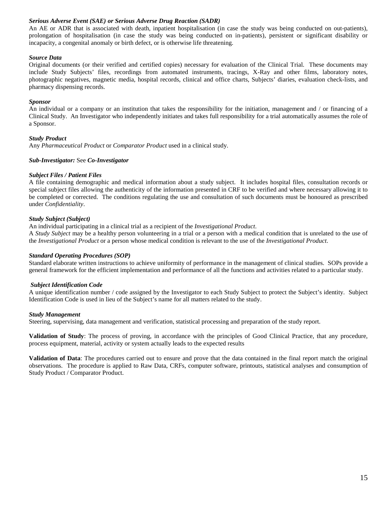#### *Serious Adverse Event (SAE) or Serious Adverse Drug Reaction (SADR)*

An AE or ADR that is associated with death, inpatient hospitalisation (in case the study was being conducted on out-patients), prolongation of hospitalisation (in case the study was being conducted on in-patients), persistent or significant disability or incapacity, a congenital anomaly or birth defect, or is otherwise life threatening.

#### *Source Data*

Original documents (or their verified and certified copies) necessary for evaluation of the Clinical Trial. These documents may include Study Subjects' files, recordings from automated instruments, tracings, X-Ray and other films, laboratory notes, photographic negatives, magnetic media, hospital records, clinical and office charts, Subjects' diaries, evaluation check-lists, and pharmacy dispensing records.

#### *Sponsor*

An individual or a company or an institution that takes the responsibility for the initiation, management and / or financing of a Clinical Study. An Investigator who independently initiates and takes full responsibility for a trial automatically assumes the role of a Sponsor.

#### *Study Product*

Any *Pharmaceutical Product* or *Comparator Product* used in a clinical study.

#### *Sub-Investigator:* See *Co-Investigator*

#### *Subject Files / Patient Files*

A file containing demographic and medical information about a study subject. It includes hospital files, consultation records or special subject files allowing the authenticity of the information presented in CRF to be verified and where necessary allowing it to be completed or corrected. The conditions regulating the use and consultation of such documents must be honoured as prescribed under *Confidentiality*.

#### *Study Subject (Subject)*

An individual participating in a clinical trial as a recipient of the *Investigational Product*.

A *Study Subject* may be a healthy person volunteering in a trial or a person with a medical condition that is unrelated to the use of the *Investigational Product* or a person whose medical condition is relevant to the use of the *Investigational Product*.

#### *Standard Operating Procedures (SOP)*

Standard elaborate written instructions to achieve uniformity of performance in the management of clinical studies. SOPs provide a general framework for the efficient implementation and performance of all the functions and activities related to a particular study.

#### *Subject Identification Code*

A unique identification number / code assigned by the Investigator to each Study Subject to protect the Subject's identity. Subject Identification Code is used in lieu of the Subject's name for all matters related to the study.

#### *Study Management*

Steering, supervising, data management and verification, statistical processing and preparation of the study report.

**Validation of Study**: The process of proving, in accordance with the principles of Good Clinical Practice, that any procedure, process equipment, material, activity or system actually leads to the expected results

**Validation of Data**: The procedures carried out to ensure and prove that the data contained in the final report match the original observations. The procedure is applied to Raw Data, CRFs, computer software, printouts, statistical analyses and consumption of Study Product / Comparator Product.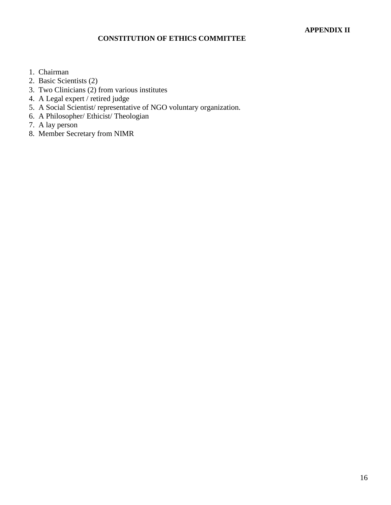# **APPENDIX II**

# **CONSTITUTION OF ETHICS COMMITTEE**

- 1. Chairman
- 2. Basic Scientists (2)
- 3. Two Clinicians (2) from various institutes
- 4. A Legal expert / retired judge
- 5. A Social Scientist/ representative of NGO voluntary organization.
- 6. A Philosopher/ Ethicist/ Theologian
- 7. A lay person
- 8. Member Secretary from NIMR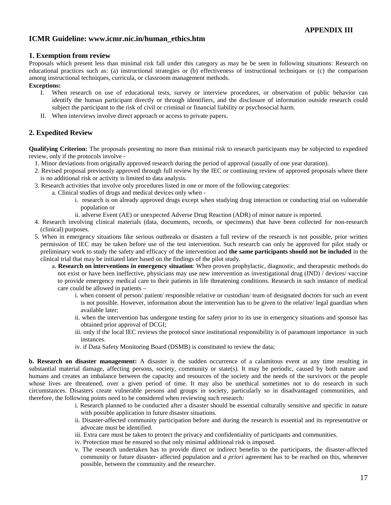# **ICMR Guideline: www.icmr.nic.in/human\_ethics.htm**

#### **1. Exemption from review**

Proposals which present less than minimal risk fall under this category as may be be seen in following situations: Research on educational practices such as: (a) instructional strategies or (b) effectiveness of instructional techniques or (c) the comparison among instructional techniques, curricula, or classroom management methods.

#### **Exceptions:**

- I. When research on use of educational tests, survey or interview procedures, or observation of public behavior can identify the human participant directly or through identifiers, and the disclosure of information outside research could subject the participant to the risk of civil or criminal or financial liability or psychosocial harm.
- II. When interviews involve direct approach or access to private papers.

# **2. Expedited Review**

**Qualifying Criterion:** The proposals presenting no more than minimal risk to research participants may be subjected to expedited review, only if the protocols involve -

- 1. Minor deviations from originally approved research during the period of approval (usually of one year duration).
- 2. Revised proposal previously approved through full review by the IEC or continuing review of approved proposals where there is no additional risk or activity is limited to data analysis.
- 3. Research activities that involve only procedures listed in one or more of the following categories:
	- a. Clinical studies of drugs and medical devices only when
		- i. research is on already approved drugs except when studying drug interaction or conducting trial on vulnerable population or
		- ii. adverse Event (AE) or unexpected Adverse Drug Reaction (ADR) of minor nature is reported.
- 4. Research involving clinical materials (data, documents, records, or specimens) that have been collected for non-research (clinical) purposes.
- 5. When in emergency situations like serious outbreaks or disasters a full review of the research is not possible, prior written permission of IEC may be taken before use of the test intervention. Such research can only be approved for pilot study or preliminary work to study the safety and efficacy of the intervention and **the same participants should not be included** in the clinical trial that may be initiated later based on the findings of the pilot study.
	- a. **Research on interventions in emergency situation**: When proven prophylactic, diagnostic, and therapeutic methods do not exist or have been ineffective, physicians may use new intervention as investigational drug (IND) / devices/ vaccine to provide emergency medical care to their patients in life threatening conditions. Research in such instance of medical care could be allowed in patients –
		- i. when consent of person/ patient/ responsible relative or custodian/ team of designated doctors for such an event is not possible. However, information about the intervention has to be given to the relative/ legal guardian when available later;
		- ii. when the intervention has undergone testing for safety prior to its use in emergency situations and sponsor has obtained prior approval of DCGI;
		- iii. only if the local IEC reviews the protocol since institutional responsibility is of paramount importance in such instances.
		- iv. if Data Safety Monitoring Board (DSMB) is constituted to review the data;

**b. Research on disaster management:** A disaster is the sudden occurrence of a calamitous event at any time resulting in substantial material damage, affecting persons, society, community or state(s). It may be periodic, caused by both nature and humans and creates an imbalance between the capacity and resources of the society and the needs of the survivors or the people whose lives are threatened, over a given period of time. It may also be unethical sometimes not to do research in such circumstances. Disasters create vulnerable persons and groups in society, particularly so in disadvantaged communities, and therefore, the following points need to be considered when reviewing such research:

- i. Research planned to be conducted after a disaster should be essential culturally sensitive and specific in nature with possible application in future disaster situations.
- ii. Disaster-affected community participation before and during the research is essential and its representative or advocate must be identified.
- iii. Extra care must be taken to protect the privacy and confidentiality of participants and communities.
- iv. Protection must be ensured so that only minimal additional risk is imposed.
- v. The research undertaken has to provide direct or indirect benefits to the participants, the disaster-affected community or future disaster- affected population and *a priori* agreement has to be reached on this, whenever possible, between the community and the researcher.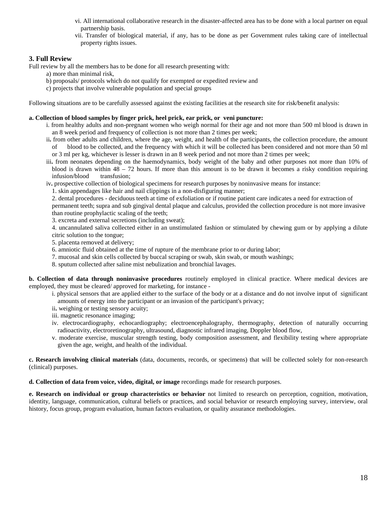- vi. All international collaborative research in the disaster-affected area has to be done with a local partner on equal partnership basis.
- vii. Transfer of biological material, if any, has to be done as per Government rules taking care of intellectual property rights issues.

# **3. Full Review**

Full review by all the members has to be done for all research presenting with:

- a) more than minimal risk,
- b) proposals/ protocols which do not qualify for exempted or expedited review and
- c) projects that involve vulnerable population and special groups

Following situations are to be carefully assessed against the existing facilities at the research site for risk/benefit analysis:

#### **a. Collection of blood samples by finger prick, heel prick, ear prick, or veni puncture:**

- i. from healthy adults and non-pregnant women who weigh normal for their age and not more than 500 ml blood is drawn in an 8 week period and frequency of collection is not more than 2 times per week;
- ii**.** from other adults and children, where the age, weight, and health of the participants, the collection procedure, the amount of blood to be collected, and the frequency with which it will be collected has been considered and not more than 50 ml or 3 ml per kg, whichever is lesser is drawn in an 8 week period and not more than 2 times per week;
- iii**.** from neonates depending on the haemodynamics, body weight of the baby and other purposes not more than 10% of blood is drawn within 48 – 72 hours. If more than this amount is to be drawn it becomes a risky condition requiring infusion/blood transfusion;
- iv**.** prospective collection of biological specimens for research purposes by noninvasive means for instance:
	- 1. skin appendages like hair and nail clippings in a non-disfiguring manner;
	- 2. dental procedures deciduous teeth at time of exfoliation or if routine patient care indicates a need for extraction of permanent teeth; supra and sub gingival dental plaque and calculus, provided the collection procedure is not more invasive than routine prophylactic scaling of the teeth;
	- 3. excreta and external secretions (including sweat);
	- 4. uncannulated saliva collected either in an unstimulated fashion or stimulated by chewing gum or by applying a dilute citric solution to the tongue;
	- 5. placenta removed at delivery;
	- 6. amniotic fluid obtained at the time of rupture of the membrane prior to or during labor;
	- 7. mucosal and skin cells collected by buccal scraping or swab, skin swab, or mouth washings;
	- 8. sputum collected after saline mist nebulization and bronchial lavages.

**b. Collection of data through noninvasive procedures** routinely employed in clinical practice. Where medical devices are employed, they must be cleared/ approved for marketing, for instance -

- i. physical sensors that are applied either to the surface of the body or at a distance and do not involve input of significant amounts of energy into the participant or an invasion of the participant's privacy;
- ii**.** weighing or testing sensory acuity;
- iii. magnetic resonance imaging;
- iv. electrocardiography, echocardiography; electroencephalography, thermography, detection of naturally occurring radioactivity, electroretinography, ultrasound, diagnostic infrared imaging, Doppler blood flow,
- v. moderate exercise, muscular strength testing, body composition assessment, and flexibility testing where appropriate given the age, weight, and health of the individual.

**c. Research involving clinical materials** (data, documents, records, or specimens) that will be collected solely for non-research (clinical) purposes.

**d. Collection of data from voice, video, digital, or image** recordings made for research purposes.

**e. Research on individual or group characteristics or behavior** not limited to research on perception, cognition, motivation, identity, language, communication, cultural beliefs or practices, and social behavior or research employing survey, interview, oral history, focus group, program evaluation, human factors evaluation, or quality assurance methodologies.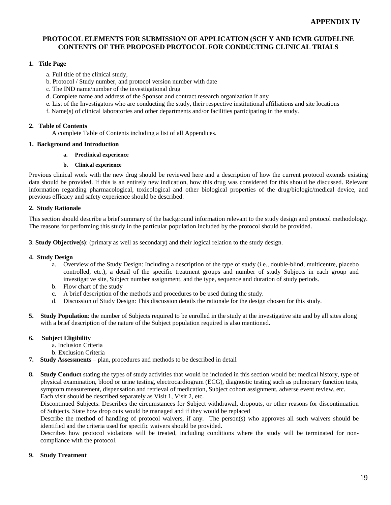# **PROTOCOL ELEMENTS FOR SUBMISSION OF APPLICATION (SCH Y AND ICMR GUIDELINE CONTENTS OF THE PROPOSED PROTOCOL FOR CONDUCTING CLINICAL TRIALS**

#### **1. Title Page**

- a. Full title of the clinical study,
- b. Protocol / Study number, and protocol version number with date
- c. The IND name/number of the investigational drug
- d. Complete name and address of the Sponsor and contract research organization if any
- e. List of the Investigators who are conducting the study, their respective institutional affiliations and site locations
- f. Name(s) of clinical laboratories and other departments and/or facilities participating in the study.

### **2. Table of Contents**

A complete Table of Contents including a list of all Appendices.

#### **1. Background and Introduction**

**a. Preclinical experience**

#### **b. Clinical experience**

Previous clinical work with the new drug should be reviewed here and a description of how the current protocol extends existing data should be provided. If this is an entirely new indication, how this drug was considered for this should be discussed. Relevant information regarding pharmacological, toxicological and other biological properties of the drug/biologic/medical device, and previous efficacy and safety experience should be described.

#### **2. Study Rationale**

This section should describe a brief summary of the background information relevant to the study design and protocol methodology. The reasons for performing this study in the particular population included by the protocol should be provided.

**3**. **Study Objective(s)**: (primary as well as secondary) and their logical relation to the study design.

#### **4. Study Design**

- a. Overview of the Study Design: Including a description of the type of study (i.e., double-blind, multicentre, placebo controlled, etc.), a detail of the specific treatment groups and number of study Subjects in each group and investigative site, Subject number assignment, and the type, sequence and duration of study periods.
- b. Flow chart of the study
- c. A brief description of the methods and procedures to be used during the study.
- d. Discussion of Study Design: This discussion details the rationale for the design chosen for this study.
- **5. Study Population**: the number of Subjects required to be enrolled in the study at the investigative site and by all sites along with a brief description of the nature of the Subject population required is also mentioned**.**

### **6. Subject Eligibility**

- a. Inclusion Criteria
- b. Exclusion Criteria
- **7. Study Assessments** plan, procedures and methods to be described in detail
- **8. Study Conduct** stating the types of study activities that would be included in this section would be: medical history, type of physical examination, blood or urine testing, electrocardiogram (ECG), diagnostic testing such as pulmonary function tests, symptom measurement, dispensation and retrieval of medication, Subject cohort assignment, adverse event review, etc. Each visit should be described separately as Visit 1, Visit 2, etc.

Discontinued Subjects: Describes the circumstances for Subject withdrawal, dropouts, or other reasons for discontinuation of Subjects. State how drop outs would be managed and if they would be replaced

Describe the method of handling of protocol waivers, if any. The person(s) who approves all such waivers should be identified and the criteria used for specific waivers should be provided.

Describes how protocol violations will be treated, including conditions where the study will be terminated for noncompliance with the protocol.

### **9. Study Treatment**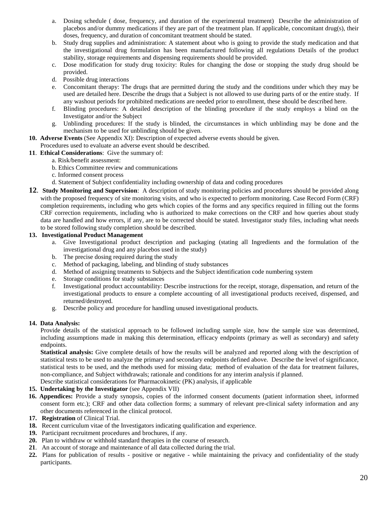- a. Dosing schedule ( dose, frequency, and duration of the experimental treatment) Describe the administration of placebos and/or dummy medications if they are part of the treatment plan. If applicable, concomitant drug(s), their doses, frequency, and duration of concomitant treatment should be stated.
- b. Study drug supplies and administration: A statement about who is going to provide the study medication and that the investigational drug formulation has been manufactured following all regulations Details of the product stability, storage requirements and dispensing requirements should be provided.
- c. Dose modification for study drug toxicity: Rules for changing the dose or stopping the study drug should be provided.
- d. Possible drug interactions
- e. Concomitant therapy: The drugs that are permitted during the study and the conditions under which they may be used are detailed here. Describe the drugs that a Subject is not allowed to use during parts of or the entire study. If any washout periods for prohibited medications are needed prior to enrollment, these should be described here.
- f. Blinding procedures: A detailed description of the blinding procedure if the study employs a blind on the Investigator and/or the Subject
- g. Unblinding procedures: If the study is blinded, the circumstances in which unblinding may be done and the mechanism to be used for unblinding should be given.
- **10. Adverse Events** (See Appendix XI): Description of expected adverse events should be given.
- Procedures used to evaluate an adverse event should be described.
- **11**. **Ethical Considerations**: Give the summary of:
	- a. Risk/benefit assessment:
	- b. Ethics Committee review and communications
	- c. Informed consent process
	- d. Statement of Subject confidentiality including ownership of data and coding procedures
- **12**. **Study Monitoring and Supervision**: A description of study monitoring policies and procedures should be provided along with the proposed frequency of site monitoring visits, and who is expected to perform monitoring. Case Record Form (CRF) completion requirements, including who gets which copies of the forms and any specifics required in filling out the forms CRF correction requirements, including who is authorized to make corrections on the CRF and how queries about study data are handled and how errors, if any, are to be corrected should be stated. Investigator study files, including what needs to be stored following study completion should be described.

#### **13. Investigational Product Management**

- a. Give Investigational product description and packaging (stating all Ingredients and the formulation of the investigational drug and any placebos used in the study)
- b. The precise dosing required during the study
- c. Method of packaging, labeling, and blinding of study substances
- d. Method of assigning treatments to Subjects and the Subject identification code numbering system
- e. Storage conditions for study substances
- f. Investigational product accountability: Describe instructions for the receipt, storage, dispensation, and return of the investigational products to ensure a complete accounting of all investigational products received, dispensed, and returned/destroyed.
- g. Describe policy and procedure for handling unused investigational products.

#### **14. Data Analysis:**

Provide details of the statistical approach to be followed including sample size, how the sample size was determined, including assumptions made in making this determination, efficacy endpoints (primary as well as secondary) and safety endpoints.

**Statistical analysis:** Give complete details of how the results will be analyzed and reported along with the description of statistical tests to be used to analyze the primary and secondary endpoints defined above. Describe the level of significance, statistical tests to be used, and the methods used for missing data; method of evaluation of the data for treatment failures, non-compliance, and Subject withdrawals; rationale and conditions for any interim analysis if planned.

- Describe statistical considerations for Pharmacokinetic (PK) analysis, if applicable
- **15. Undertaking by the Investigator** (see Appendix VII)
- **16. Appendices:** Provide a study synopsis, copies of the informed consent documents (patient information sheet, informed consent form etc.); CRF and other data collection forms; a summary of relevant pre-clinical safety information and any other documents referenced in the clinical protocol.
- **17. Registration** of Clinical Trial.
- **18.** Recent curriculum vitae of the Investigators indicating qualification and experience.
- **19.** Participant recruitment procedures and brochures, if any.
- **20.** Plan to withdraw or withhold standard therapies in the course of research.
- **21**. An account of storage and maintenance of all data collected during the trial.
- **22.** Plans for publication of results positive or negative while maintaining the privacy and confidentiality of the study participants.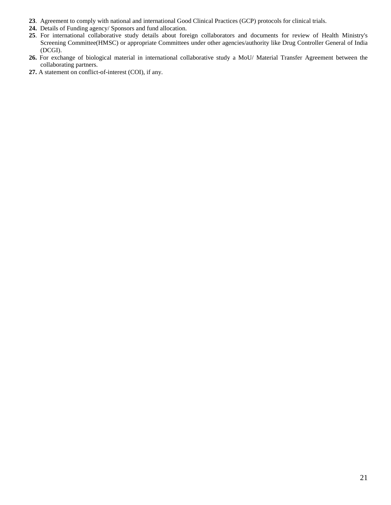- **23**. Agreement to comply with national and international Good Clinical Practices (GCP) protocols for clinical trials.
- **24.** Details of Funding agency/ Sponsors and fund allocation.
- **25**. For international collaborative study details about foreign collaborators and documents for review of Health Ministry's Screening Committee(HMSC) or appropriate Committees under other agencies/authority like Drug Controller General of India (DCGI).
- **26.** For exchange of biological material in international collaborative study a MoU/ Material Transfer Agreement between the collaborating partners.
- **27.** A statement on conflict-of-interest (COI), if any.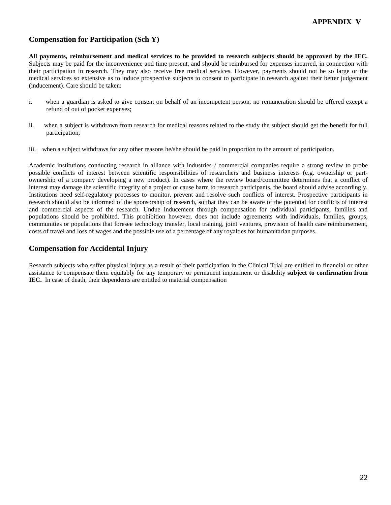# **Compensation for Participation (Sch Y)**

**All payments, reimbursement and medical services to be provided to research subjects should be approved by the IEC.** Subjects may be paid for the inconvenience and time present, and should be reimbursed for expenses incurred, in connection with their participation in research. They may also receive free medical services. However, payments should not be so large or the medical services so extensive as to induce prospective subjects to consent to participate in research against their better judgement (inducement). Care should be taken:

- i. when a guardian is asked to give consent on behalf of an incompetent person, no remuneration should be offered except a refund of out of pocket expenses;
- ii. when a subject is withdrawn from research for medical reasons related to the study the subject should get the benefit for full participation;
- iii. when a subject withdraws for any other reasons he/she should be paid in proportion to the amount of participation.

Academic institutions conducting research in alliance with industries / commercial companies require a strong review to probe possible conflicts of interest between scientific responsibilities of researchers and business interests (e.g. ownership or partownership of a company developing a new product). In cases where the review board/committee determines that a conflict of interest may damage the scientific integrity of a project or cause harm to research participants, the board should advise accordingly. Institutions need self-regulatory processes to monitor, prevent and resolve such conflicts of interest. Prospective participants in research should also be informed of the sponsorship of research, so that they can be aware of the potential for conflicts of interest and commercial aspects of the research. Undue inducement through compensation for individual participants, families and populations should be prohibited. This prohibition however, does not include agreements with individuals, families, groups, communities or populations that foresee technology transfer, local training, joint ventures, provision of health care reimbursement, costs of travel and loss of wages and the possible use of a percentage of any royalties for humanitarian purposes.

# **Compensation for Accidental Injury**

Research subjects who suffer physical injury as a result of their participation in the Clinical Trial are entitled to financial or other assistance to compensate them equitably for any temporary or permanent impairment or disability **subject to confirmation from IEC.** In case of death, their dependents are entitled to material compensation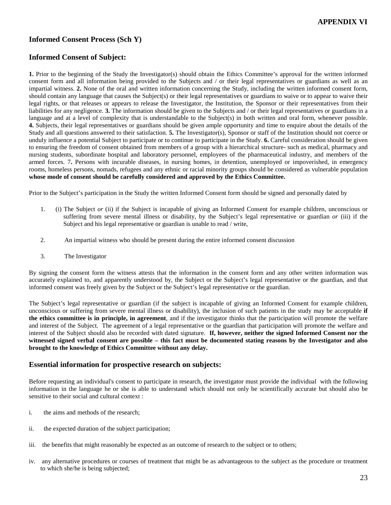# **Informed Consent Process (Sch Y)**

# **Informed Consent of Subject:**

**1.** Prior to the beginning of the Study the Investigator(s) should obtain the Ethics Committee's approval for the written informed consent form and all information being provided to the Subjects and / or their legal representatives or guardians as well as an impartial witness. **2.** None of the oral and written information concerning the Study, including the written informed consent form, should contain any language that causes the Subject(s) or their legal representatives or guardians to waive or to appear to waive their legal rights, or that releases or appears to release the Investigator, the Institution, the Sponsor or their representatives from their liabilities for any negligence. **3.** The information should be given to the Subjects and / or their legal representatives or guardians in a language and at a level of complexity that is understandable to the Subject(s) in both written and oral form, whenever possible. **4.** Subjects, their legal representatives or guardians should be given ample opportunity and time to enquire about the details of the Study and all questions answered to their satisfaction. **5.** The Investigator(s), Sponsor or staff of the Institution should not coerce or unduly influence a potential Subject to participate or to continue to participate in the Study. **6.** Careful consideration should be given to ensuring the freedom of consent obtained from members of a group with a hierarchical structure- such as medical, pharmacy and nursing students, subordinate hospital and laboratory personnel, employees of the pharmaceutical industry, and members of the armed forces. 7**.** Persons with incurable diseases, in nursing homes, in detention, unemployed or impoverished, in emergency rooms, homeless persons, nomads, refugees and any ethnic or racial minority groups should be considered as vulnerable population **whose mode of consent should be carefully considered and approved by the Ethics Committee.**

Prior to the Subject's participation in the Study the written Informed Consent form should be signed and personally dated by

- 1. (i) The Subject *or* (ii) if the Subject is incapable of giving an Informed Consent for example children, unconscious or suffering from severe mental illness or disability, by the Subject's legal representative or guardian *or* (iii) if the Subject and his legal representative or guardian is unable to read / write,
- 2. An impartial witness who should be present during the entire informed consent discussion
- 3. The Investigator

By signing the consent form the witness attests that the information in the consent form and any other written information was accurately explained to, and apparently understood by, the Subject or the Subject's legal representative or the guardian, and that informed consent was freely given by the Subject or the Subject's legal representative or the guardian.

The Subject's legal representative or guardian (if the subject is incapable of giving an Informed Consent for example children, unconscious or suffering from severe mental illness or disability), the inclusion of such patients in the study may be acceptable **if the ethics committee is in principle, in agreement**, and if the investigator thinks that the participation will promote the welfare and interest of the Subject. The agreement of a legal representative or the guardian that participation will promote the welfare and interest of the Subject should also be recorded with dated signature. **If, however, neither the signed Informed Consent nor the witnessed signed verbal consent are possible – this fact must be documented stating reasons by the Investigator and also brought to the knowledge of Ethics Committee without any delay.**

### **Essential information for prospective research on subjects:**

Before requesting an individual's consent to participate in research, the investigator must provide the individual with the following information in the language he or she is able to understand which should not only be scientifically accurate but should also be sensitive to their social and cultural context :

- i. the aims and methods of the research;
- ii. the expected duration of the subject participation;
- iii. the benefits that might reasonably be expected as an outcome of research to the subject or to others;
- iv. any alternative procedures or courses of treatment that might be as advantageous to the subject as the procedure or treatment to which she/he is being subjected;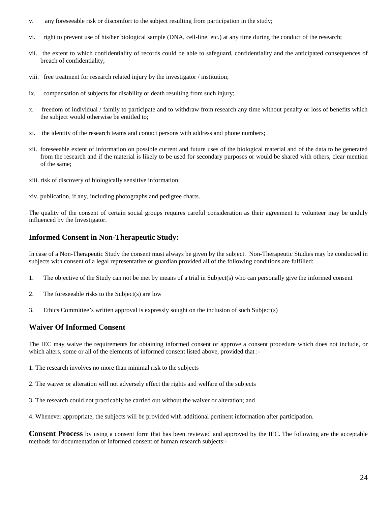- v. any foreseeable risk or discomfort to the subject resulting from participation in the study;
- vi. right to prevent use of his/her biological sample (DNA, cell-line, etc.) at any time during the conduct of the research;
- vii. the extent to which confidentiality of records could be able to safeguard, confidentiality and the anticipated consequences of breach of confidentiality;
- viii. free treatment for research related injury by the investigator / institution;
- ix. compensation of subjects for disability or death resulting from such injury;
- x. freedom of individual / family to participate and to withdraw from research any time without penalty or loss of benefits which the subject would otherwise be entitled to;
- xi. the identity of the research teams and contact persons with address and phone numbers;
- xii. foreseeable extent of information on possible current and future uses of the biological material and of the data to be generated from the research and if the material is likely to be used for secondary purposes or would be shared with others, clear mention of the same;
- xiii. risk of discovery of biologically sensitive information;
- xiv. publication, if any, including photographs and pedigree charts.

The quality of the consent of certain social groups requires careful consideration as their agreement to volunteer may be unduly influenced by the Investigator.

# **Informed Consent in Non-Therapeutic Study:**

In case of a Non-Therapeutic Study the consent must always be given by the subject. Non-Therapeutic Studies may be conducted in subjects with consent of a legal representative or guardian provided all of the following conditions are fulfilled:

- 1. The objective of the Study can not be met by means of a trial in Subject(s) who can personally give the informed consent
- 2. The foreseeable risks to the Subject(s) are low
- 3. Ethics Committee's written approval is expressly sought on the inclusion of such Subject(s)

# **Waiver Of Informed Consent**

The IEC may waive the requirements for obtaining informed consent or approve a consent procedure which does not include, or which alters, some or all of the elements of informed consent listed above, provided that :-

- 1. The research involves no more than minimal risk to the subjects
- 2. The waiver or alteration will not adversely effect the rights and welfare of the subjects
- 3. The research could not practicably be carried out without the waiver or alteration; and

4. Whenever appropriate, the subjects will be provided with additional pertinent information after participation.

**Consent Process** by using a consent form that has been reviewed and approved by the IEC. The following are the acceptable methods for documentation of informed consent of human research subjects:-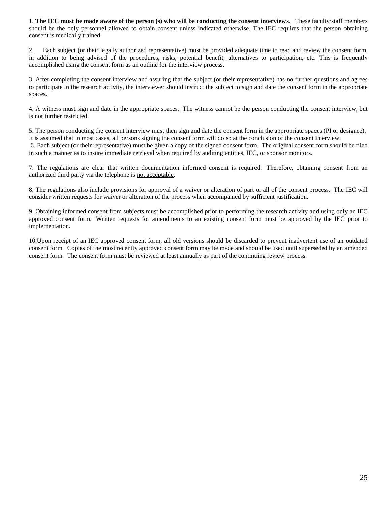1. **The IEC must be made aware of the person (s) who will be conducting the consent interviews**. These faculty/staff members should be the only personnel allowed to obtain consent unless indicated otherwise. The IEC requires that the person obtaining consent is medically trained.

2. Each subject (or their legally authorized representative) must be provided adequate time to read and review the consent form, in addition to being advised of the procedures, risks, potential benefit, alternatives to participation, etc. This is frequently accomplished using the consent form as an outline for the interview process.

3. After completing the consent interview and assuring that the subject (or their representative) has no further questions and agrees to participate in the research activity, the interviewer should instruct the subject to sign and date the consent form in the appropriate spaces.

4. A witness must sign and date in the appropriate spaces. The witness cannot be the person conducting the consent interview, but is not further restricted.

5. The person conducting the consent interview must then sign and date the consent form in the appropriate spaces (PI or designee). It is assumed that in most cases, all persons signing the consent form will do so at the conclusion of the consent interview.

6. Each subject (or their representative) must be given a copy of the signed consent form. The original consent form should be filed in such a manner as to insure immediate retrieval when required by auditing entities, IEC, or sponsor monitors.

7. The regulations are clear that written documentation informed consent is required. Therefore, obtaining consent from an authorized third party via the telephone is not acceptable.

8. The regulations also include provisions for approval of a waiver or alteration of part or all of the consent process. The IEC will consider written requests for waiver or alteration of the process when accompanied by sufficient justification.

9. Obtaining informed consent from subjects must be accomplished prior to performing the research activity and using only an IEC approved consent form. Written requests for amendments to an existing consent form must be approved by the IEC prior to implementation.

10.Upon receipt of an IEC approved consent form, all old versions should be discarded to prevent inadvertent use of an outdated consent form. Copies of the most recently approved consent form may be made and should be used until superseded by an amended consent form. The consent form must be reviewed at least annually as part of the continuing review process.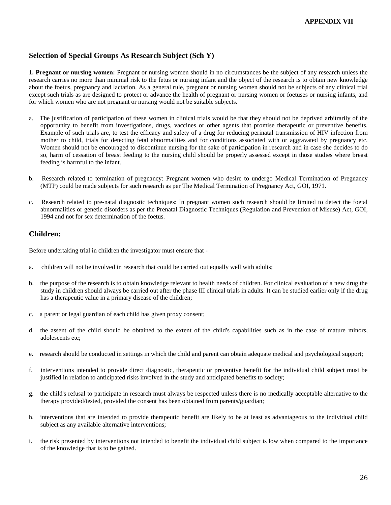# **Selection of Special Groups As Research Subject (Sch Y)**

**1. Pregnant or nursing women:** Pregnant or nursing women should in no circumstances be the subject of any research unless the research carries no more than minimal risk to the fetus or nursing infant and the object of the research is to obtain new knowledge about the foetus, pregnancy and lactation. As a general rule, pregnant or nursing women should not be subjects of any clinical trial except such trials as are designed to protect or advance the health of pregnant or nursing women or foetuses or nursing infants, and for which women who are not pregnant or nursing would not be suitable subjects.

- a. The justification of participation of these women in clinical trials would be that they should not be deprived arbitrarily of the opportunity to benefit from investigations, drugs, vaccines or other agents that promise therapeutic or preventive benefits. Example of such trials are, to test the efficacy and safety of a drug for reducing perinatal transmission of HIV infection from mother to child, trials for detecting fetal abnormalities and for conditions associated with or aggravated by pregnancy etc. Women should not be encouraged to discontinue nursing for the sake of participation in research and in case she decides to do so, harm of cessation of breast feeding to the nursing child should be properly assessed except in those studies where breast feeding is harmful to the infant.
- b. Research related to termination of pregnancy: Pregnant women who desire to undergo Medical Termination of Pregnancy (MTP) could be made subjects for such research as per The Medical Termination of Pregnancy Act, GOI, 1971.
- c. Research related to pre-natal diagnostic techniques: In pregnant women such research should be limited to detect the foetal abnormalities or genetic disorders as per the Prenatal Diagnostic Techniques (Regulation and Prevention of Misuse) Act, GOI, 1994 and not for sex determination of the foetus.

#### **Children:**

Before undertaking trial in children the investigator must ensure that -

- a. children will not be involved in research that could be carried out equally well with adults;
- b. the purpose of the research is to obtain knowledge relevant to health needs of children. For clinical evaluation of a new drug the study in children should always be carried out after the phase III clinical trials in adults. It can be studied earlier only if the drug has a therapeutic value in a primary disease of the children;
- c. a parent or legal guardian of each child has given proxy consent;
- d. the assent of the child should be obtained to the extent of the child's capabilities such as in the case of mature minors, adolescents etc;
- e. research should be conducted in settings in which the child and parent can obtain adequate medical and psychological support;
- f. interventions intended to provide direct diagnostic, therapeutic or preventive benefit for the individual child subject must be justified in relation to anticipated risks involved in the study and anticipated benefits to society;
- g. the child's refusal to participate in research must always be respected unless there is no medically acceptable alternative to the therapy provided/tested, provided the consent has been obtained from parents/guardian;
- h. interventions that are intended to provide therapeutic benefit are likely to be at least as advantageous to the individual child subject as any available alternative interventions;
- i. the risk presented by interventions not intended to benefit the individual child subject is low when compared to the importance of the knowledge that is to be gained.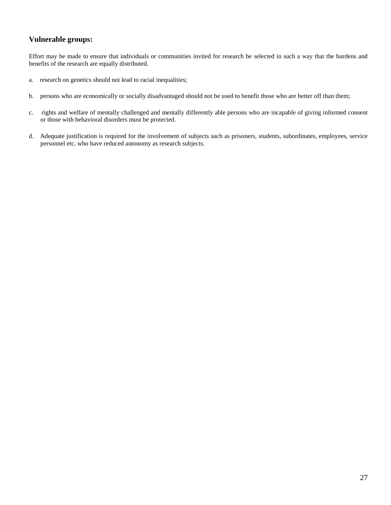# **Vulnerable groups:**

Effort may be made to ensure that individuals or communities invited for research be selected in such a way that the burdens and benefits of the research are equally distributed.

- a. research on genetics should not lead to racial inequalities;
- b. persons who are economically or socially disadvantaged should not be used to benefit those who are better off than them;
- c. rights and welfare of mentally challenged and mentally differently able persons who are incapable of giving informed consent or those with behavioral disorders must be protected.
- d. Adequate justification is required for the involvement of subjects such as prisoners, students, subordinates, employees, service personnel etc. who have reduced autonomy as research subjects.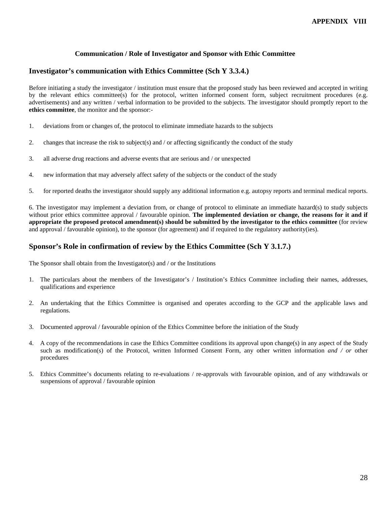#### **Communication / Role of Investigator and Sponsor with Ethic Committee**

#### **Investigator's communication with Ethics Committee (Sch Y 3.3.4.)**

Before initiating a study the investigator / institution must ensure that the proposed study has been reviewed and accepted in writing by the relevant ethics committee(s) for the protocol, written informed consent form, subject recruitment procedures (e.g. advertisements) and any written / verbal information to be provided to the subjects. The investigator should promptly report to the **ethics committee**, the monitor and the sponsor:-

- 1. deviations from or changes of, the protocol to eliminate immediate hazards to the subjects
- 2. changes that increase the risk to subject(s) and / or affecting significantly the conduct of the study
- 3. all adverse drug reactions and adverse events that are serious and / or unexpected
- 4. new information that may adversely affect safety of the subjects or the conduct of the study
- 5. for reported deaths the investigator should supply any additional information e.g. autopsy reports and terminal medical reports.

6. The investigator may implement a deviation from, or change of protocol to eliminate an immediate hazard(s) to study subjects without prior ethics committee approval / favourable opinion. **The implemented deviation or change, the reasons for it and if appropriate the proposed protocol amendment(s) should be submitted by the investigator to the ethics committee** (for review and approval / favourable opinion), to the sponsor (for agreement) and if required to the regulatory authority(ies).

### **Sponsor's Role in confirmation of review by the Ethics Committee (Sch Y 3.1.7.)**

The Sponsor shall obtain from the Investigator(s) and / or the Institutions

- 1. The particulars about the members of the Investigator's / Institution's Ethics Committee including their names, addresses, qualifications and experience
- 2. An undertaking that the Ethics Committee is organised and operates according to the GCP and the applicable laws and regulations.
- 3. Documented approval / favourable opinion of the Ethics Committee before the initiation of the Study
- 4. A copy of the recommendations in case the Ethics Committee conditions its approval upon change(s) in any aspect of the Study such as modification(s) of the Protocol, written Informed Consent Form, any other written information *and / or* other procedures
- 5. Ethics Committee's documents relating to re-evaluations / re-approvals with favourable opinion, and of any withdrawals or suspensions of approval / favourable opinion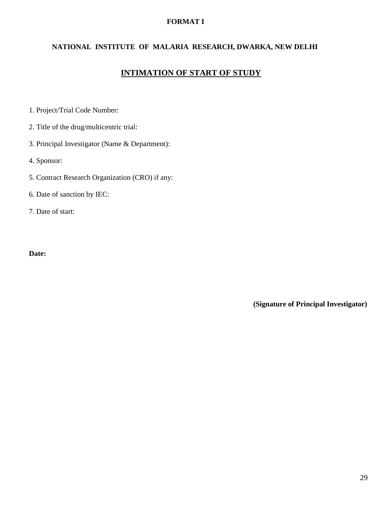# **FORMAT I**

# **NATIONAL INSTITUTE OF MALARIA RESEARCH, DWARKA, NEW DELHI**

# **INTIMATION OF START OF STUDY**

- 1. Project/Trial Code Number:
- 2. Title of the drug/multicentric trial:
- 3. Principal Investigator (Name & Department):
- 4. Sponsor:
- 5. Contract Research Organization (CRO) if any:
- 6. Date of sanction by IEC:
- 7. Date of start:

**Date:** 

 **(Signature of Principal Investigator)**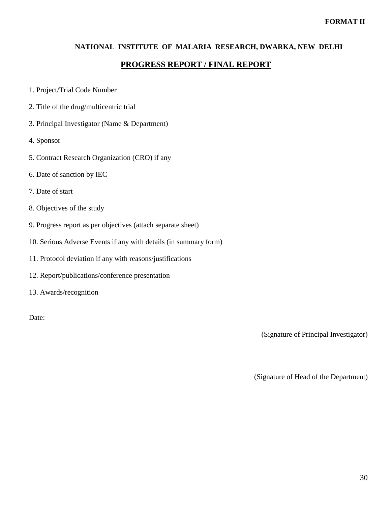# **NATIONAL INSTITUTE OF MALARIA RESEARCH, DWARKA, NEW DELHI**

# **PROGRESS REPORT / FINAL REPORT**

- 1. Project/Trial Code Number
- 2. Title of the drug/multicentric trial
- 3. Principal Investigator (Name & Department)
- 4. Sponsor
- 5. Contract Research Organization (CRO) if any
- 6. Date of sanction by IEC
- 7. Date of start
- 8. Objectives of the study
- 9. Progress report as per objectives (attach separate sheet)
- 10. Serious Adverse Events if any with details (in summary form)
- 11. Protocol deviation if any with reasons/justifications
- 12. Report/publications/conference presentation
- 13. Awards/recognition

Date:

(Signature of Principal Investigator)

(Signature of Head of the Department)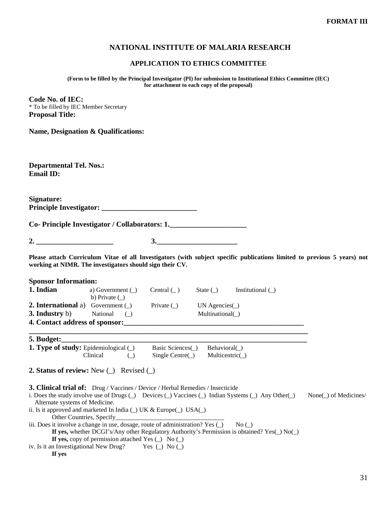# **NATIONAL INSTITUTE OF MALARIA RESEARCH**

# **APPLICATION TO ETHICS COMMITTEE**

**(Form to be filled by the Principal Investigator (PI) for submission to Institutional Ethics Committee (IEC) for attachment to each copy of the proposal)**

| Code No. of IEC:<br>* To be filled by IEC Member Secretary                                                                                                                                                                                        |                                                          |                             |                                                                                                                          |                       |
|---------------------------------------------------------------------------------------------------------------------------------------------------------------------------------------------------------------------------------------------------|----------------------------------------------------------|-----------------------------|--------------------------------------------------------------------------------------------------------------------------|-----------------------|
| <b>Proposal Title:</b>                                                                                                                                                                                                                            |                                                          |                             |                                                                                                                          |                       |
| Name, Designation & Qualifications:                                                                                                                                                                                                               |                                                          |                             |                                                                                                                          |                       |
| <b>Departmental Tel. Nos.:</b><br><b>Email ID:</b>                                                                                                                                                                                                |                                                          |                             |                                                                                                                          |                       |
| Signature:                                                                                                                                                                                                                                        |                                                          |                             |                                                                                                                          |                       |
| Co-Principle Investigator / Collaborators: 1.                                                                                                                                                                                                     |                                                          |                             |                                                                                                                          |                       |
| 2. $\qquad \qquad$                                                                                                                                                                                                                                |                                                          |                             | 3.                                                                                                                       |                       |
| working at NIMR. The investigators should sign their CV.                                                                                                                                                                                          |                                                          |                             | Please attach Curriculum Vitae of all Investigators (with subject specific publications limited to previous 5 years) not |                       |
| <b>Sponsor Information:</b>                                                                                                                                                                                                                       |                                                          |                             |                                                                                                                          |                       |
| 1. Indian                                                                                                                                                                                                                                         | a) Government $(\_)$<br>b) Private $(\_)$                | Central $(\_)$ State $(\_)$ | Institutional $($                                                                                                        |                       |
| <b>2. International</b> a) Government $\Box$                                                                                                                                                                                                      |                                                          | Private (_) UN Agencies(_)  |                                                                                                                          |                       |
| 3. Industry b)                                                                                                                                                                                                                                    | National<br>$\bigcirc$                                   |                             | Multinational()                                                                                                          |                       |
|                                                                                                                                                                                                                                                   |                                                          |                             |                                                                                                                          |                       |
| 5. Budget:                                                                                                                                                                                                                                        |                                                          |                             | ,我们也不能在这里的人,我们也不能在这里的人,我们也不能在这里的人,我们也不能在这里的人,我们也不能在这里的人,我们也不能在这里的人,我们也不能在这里的人,我们                                         |                       |
| <b>1. Type of study:</b> Epidemiological (_) Basic Sciences(_)                                                                                                                                                                                    | Clinical<br>$\cup$                                       | Single Centre $(\_)$        | Behavioral()<br>Multicentric(                                                                                            |                       |
| 2. Status of review: New $\left(\_\right)$ Revised $\left(\_\right)$                                                                                                                                                                              |                                                          |                             |                                                                                                                          |                       |
| <b>3. Clinical trial of:</b> Drug / Vaccines / Device / Herbal Remedies / Insecticide<br>Alternate systems of Medicine.<br>ii. Is it approved and marketed In India $\bigcirc$ UK & Europe $\bigcirc$ USA $\bigcirc$<br>Other Countries, Specify_ |                                                          |                             | i. Does the study involve use of Drugs $(\_)$ Devices $(\_)$ Vaccines $(\_)$ Indian Systems $(\_)$ Any Other $(\_)$      | None(_) of Medicines/ |
| iii. Does it involve a change in use, dosage, route of administration? Yes (_)<br>iv. Is it an Investigational New Drug?<br>If yes                                                                                                                | If yes, copy of permission attached Yes $(\_)$ No $(\_)$ | Yes $\Box$ No $\Box$        | No (<br>If yes, whether DCGI's/Any other Regulatory Authority's Permission is obtained? Yes(_) No(_)                     |                       |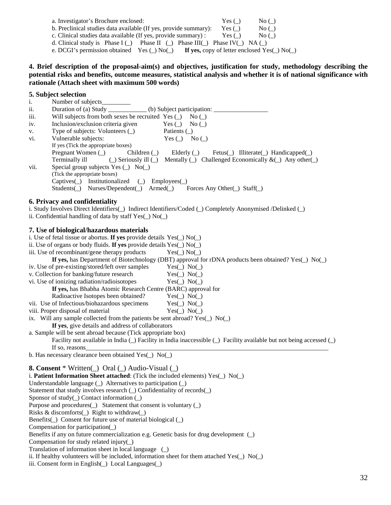| a. Investigator's Brochure enclosed:                             | Yes ( ) | No() |
|------------------------------------------------------------------|---------|------|
| b. Preclinical studies data available (If yes, provide summary): | Yes()   | No() |

- c. Clinical studies data available (If yes, provide summary) : Yes (\_) No (\_)
- 

d. Clinical study is Phase I (\_) Phase II (\_) Phase III(\_) Phase IV(\_) NA (\_) e. DCGI's permission obtained Yes ( ) No () If ves, copy of letter enclosed Yes ( ) No () e. DCGI's permission obtained Yes $(\_)$  No $(\_)$ 

# **4. Brief description of the proposal-aim(s) and objectives, justification for study, methodology describing the potential risks and benefits, outcome measures, statistical analysis and whether it is of national significance with rationale (Attach sheet with maximum 500 words)**

# **5. Subject selection**

| i.   | Number of subjects_                                                                                                                                                                                                                                                                                                                                                                                                                                                                      |
|------|------------------------------------------------------------------------------------------------------------------------------------------------------------------------------------------------------------------------------------------------------------------------------------------------------------------------------------------------------------------------------------------------------------------------------------------------------------------------------------------|
| ii.  | Duration of (a) Study ____________ (b) Subject participation: ___________________                                                                                                                                                                                                                                                                                                                                                                                                        |
| iii. | Will subjects from both sexes be recruited $Yes ( )$<br>No (                                                                                                                                                                                                                                                                                                                                                                                                                             |
| iv.  | Inclusion/exclusion criteria given<br>Yes $\bigcirc$<br>No (                                                                                                                                                                                                                                                                                                                                                                                                                             |
| v.   | Type of subjects: Volunteers $(\_)$<br>Patients $(\_)$                                                                                                                                                                                                                                                                                                                                                                                                                                   |
| VI.  | Vulnerable subjects:<br>Yes $\bigcup$ No $\bigcup$                                                                                                                                                                                                                                                                                                                                                                                                                                       |
| vii. | If yes (Tick the appropriate boxes)<br>Pregnant Women $(\_)$<br>Children $(\_)$<br>Fetus() Illiterate() Handicapped()<br>Elderly $(\_)$<br>$\Box$ Seriously ill $\Box$<br>Terminally ill<br>Mentally (_) Challenged Economically $\&($ $\Diamond$ Any other( $\Box$ )<br>Special group subjects Yes $\cup$ No $\cup$<br>(Tick the appropriate boxes)<br>Captives() Institutionalized<br>$\Box$ Employees $\Box$<br>Students(_) Nurses/Dependent(_) Armed(_) Forces Any Other(_) Staff(_) |
|      | 6. Privacy and confidentiality<br>i. Study Involves Direct Identifiers(_) Indirect Identifiers/Coded (_) Completely Anonymised /Delinked (_)<br>ii. Confidential handling of data by staff $Yes(\_) No(\_)$                                                                                                                                                                                                                                                                              |
|      | 7. Use of biological/hazardous materials                                                                                                                                                                                                                                                                                                                                                                                                                                                 |
|      | i. Use of fetal tissue or abortus. If yes provide details Yes(_) No(_)                                                                                                                                                                                                                                                                                                                                                                                                                   |
|      | ii. Use of organs or body fluids. If yes provide details $Yes(\_) No(\_)$                                                                                                                                                                                                                                                                                                                                                                                                                |
|      | iii. Use of recombinant/gene therapy products<br>$Yes(\_) No(\_)$                                                                                                                                                                                                                                                                                                                                                                                                                        |
|      | If yes, has Department of Biotechnology (DBT) approval for rDNA products been obtained? Yes( $\_$ ) No( $\_$ )                                                                                                                                                                                                                                                                                                                                                                           |
|      | iv. Use of pre-existing/stored/left over samples<br>$Yes(\_) No(\_)$                                                                                                                                                                                                                                                                                                                                                                                                                     |
|      | v. Collection for banking/future research<br>$Yes(\_) No(\_)$                                                                                                                                                                                                                                                                                                                                                                                                                            |
|      | vi. Use of ionizing radiation/radioisotopes<br>$Yes(\_) No(\_)$                                                                                                                                                                                                                                                                                                                                                                                                                          |
|      | If yes, has Bhabha Atomic Research Centre (BARC) approval for                                                                                                                                                                                                                                                                                                                                                                                                                            |
|      | Radioactive Isotopes been obtained?<br>$Yes(\_) No(\_)$                                                                                                                                                                                                                                                                                                                                                                                                                                  |
|      | vii. Use of Infectious/biohazardous specimens<br>$Yes(\_) No(\_)$                                                                                                                                                                                                                                                                                                                                                                                                                        |
|      | viii. Proper disposal of material<br>$Yes(\_) No(\_)$                                                                                                                                                                                                                                                                                                                                                                                                                                    |
|      | ix. Will any sample collected from the patients be sent abroad? Yes(_) No(_)                                                                                                                                                                                                                                                                                                                                                                                                             |
|      | If yes, give details and address of collaborators                                                                                                                                                                                                                                                                                                                                                                                                                                        |
|      | a. Sample will be sent abroad because (Tick appropriate box)<br>Facility not available in India (_) Facility in India inaccessible (_) Facility available but not being accessed (_)<br>If so, reasons                                                                                                                                                                                                                                                                                   |
|      | b. Has necessary clearance been obtained $Yes(\_) No(\_)$                                                                                                                                                                                                                                                                                                                                                                                                                                |
|      | <b>8. Consent</b> * Written( $\Box$ ) Oral ( $\Box$ ) Audio-Visual ( $\Box$ )                                                                                                                                                                                                                                                                                                                                                                                                            |
|      | i. Patient Information Sheet attached: (Tick the included elements) $Yes(\_) No(\_)$                                                                                                                                                                                                                                                                                                                                                                                                     |
|      | Understandable language $(\_)$ Alternatives to participation $(\_)$                                                                                                                                                                                                                                                                                                                                                                                                                      |
|      | Statement that study involves research (_) Confidentiality of records(_)                                                                                                                                                                                                                                                                                                                                                                                                                 |

Sponsor of study(\_) Contact information (\_)

Purpose and procedures(\_) Statement that consent is voluntary (\_)

Risks & discomforts(\_) Right to withdraw(\_)

Benefits(\_) Consent for future use of material biological (\_)

Compensation for participation(\_)

Benefits if any on future commercialization e.g. Genetic basis for drug development (\_)

Compensation for study related injury(\_)

Translation of information sheet in local language (\_)

ii. If healthy volunteers will be included, information sheet for them attached Yes $( )$  No $( )$ 

iii. Consent form in English(\_) Local Languages(\_)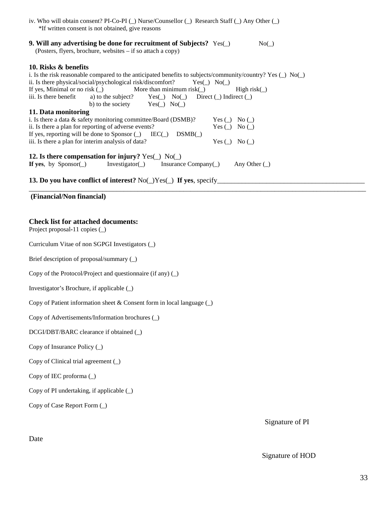| iv. Who will obtain consent? PI-Co-PI (_) Nurse/Counsellor (_) Research Staff (_) Any Other (_)<br>*If written consent is not obtained, give reasons |  |
|------------------------------------------------------------------------------------------------------------------------------------------------------|--|
| 9. Will any advertising be done for recruitment of Subjects? $Yes(\_)$<br>$No(\_)$<br>(Posters, flyers, brochure, websites – if so attach a copy)    |  |
| 10. Risks & benefits                                                                                                                                 |  |
| i. Is the risk reasonable compared to the anticipated benefits to subjects/community/country? Yes $\cup$ No $\cup$                                   |  |
| ii. Is there physical/social/psychological risk/discomfort?<br>$Yes(\_) No(\_)$                                                                      |  |
| If yes, Minimal or no risk $(\_)$<br>More than minimum risk $(\_)$<br>High risk $( )$                                                                |  |
| iii. Is there benefit<br>a) to the subject? $Yes(\_) No(\_)$ Direct (_) Indirect (_)                                                                 |  |
| b) to the society $\text{Yes}(\_) \quad \text{No}(\_)$                                                                                               |  |
| 11. Data monitoring                                                                                                                                  |  |
| i. Is there a data $\&$ safety monitoring committee/Board (DSMB)?<br>Yes () No ()                                                                    |  |
| ii. Is there a plan for reporting of adverse events?<br>Yes() No()                                                                                   |  |
| If yes, reporting will be done to Sponsor $(\_)$ IEC $(\_)$<br>DSMB( )                                                                               |  |
| iii. Is there a plan for interim analysis of data?<br>Yes $\bigcirc$ No $\bigcirc$                                                                   |  |
| 12. Is there compensation for injury? $Yes(\_) No(\_)$                                                                                               |  |
| If yes, by $Sponsor(\_)$<br>Investigator() Insurance Company()<br>Any Other $(\_)$                                                                   |  |
| 13. Do you have conflict of interest? $No(\_)Yes(\_)$ If yes, specify                                                                                |  |

\_\_\_\_\_\_\_\_\_\_\_\_\_\_\_\_\_\_\_\_\_\_\_\_\_\_\_\_\_\_\_\_\_\_\_\_\_\_\_\_\_\_\_\_\_\_\_\_\_\_\_\_\_\_\_\_\_\_\_\_\_\_\_\_\_\_\_\_\_\_\_\_\_\_\_\_\_\_\_\_\_\_\_\_\_\_\_\_\_\_\_\_\_\_\_\_

**(Financial/Non financial)**

# **Check list for attached documents:**

Project proposal**-**11 copies (\_)

Curriculum Vitae of non SGPGI Investigators (\_)

Brief description of proposal/summary (\_)

Copy of the Protocol/Project and questionnaire (if any) (\_)

Investigator's Brochure, if applicable (\_)

Copy of Patient information sheet  $&$  Consent form in local language  $\Box$ 

Copy of Advertisements/Information brochures (\_)

DCGI/DBT/BARC clearance if obtained (\_)

Copy of Insurance Policy (\_)

Copy of Clinical trial agreement (\_)

Copy of IEC proforma (\_)

Copy of PI undertaking, if applicable (\_)

Copy of Case Report Form (\_)

Signature of PI

Date

Signature of HOD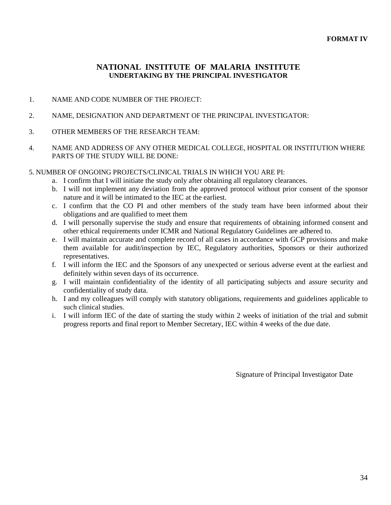# **NATIONAL INSTITUTE OF MALARIA INSTITUTE UNDERTAKING BY THE PRINCIPAL INVESTIGATOR**

- 1. NAME AND CODE NUMBER OF THE PROJECT:
- 2. NAME, DESIGNATION AND DEPARTMENT OF THE PRINCIPAL INVESTIGATOR:
- 3. OTHER MEMBERS OF THE RESEARCH TEAM:
- 4. NAME AND ADDRESS OF ANY OTHER MEDICAL COLLEGE, HOSPITAL OR INSTITUTION WHERE PARTS OF THE STUDY WILL BE DONE:
- 5. NUMBER OF ONGOING PROJECTS/CLINICAL TRIALS IN WHICH YOU ARE PI:
	- a. I confirm that I will initiate the study only after obtaining all regulatory clearances.
	- b. I will not implement any deviation from the approved protocol without prior consent of the sponsor nature and it will be intimated to the IEC at the earliest.
	- c. I confirm that the CO PI and other members of the study team have been informed about their obligations and are qualified to meet them
	- d. I will personally supervise the study and ensure that requirements of obtaining informed consent and other ethical requirements under ICMR and National Regulatory Guidelines are adhered to.
	- e. I will maintain accurate and complete record of all cases in accordance with GCP provisions and make them available for audit/inspection by IEC, Regulatory authorities, Sponsors or their authorized representatives.
	- f. I will inform the IEC and the Sponsors of any unexpected or serious adverse event at the earliest and definitely within seven days of its occurrence.
	- g. I will maintain confidentiality of the identity of all participating subjects and assure security and confidentiality of study data.
	- h. I and my colleagues will comply with statutory obligations, requirements and guidelines applicable to such clinical studies.
	- i. I will inform IEC of the date of starting the study within 2 weeks of initiation of the trial and submit progress reports and final report to Member Secretary, IEC within 4 weeks of the due date.

Signature of Principal Investigator Date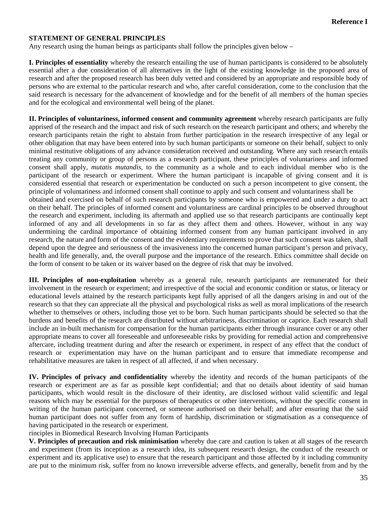### **STATEMENT OF GENERAL PRINCIPLES**

Any research using the human beings as participants shall follow the principles given below –

**I. Principles of essentiality** whereby the research entailing the use of human participants is considered to be absolutely essential after a due consideration of all alternatives in the light of the existing knowledge in the proposed area of research and after the proposed research has been duly vetted and considered by an appropriate and responsible body of persons who are external to the particular research and who, after careful consideration, come to the conclusion that the said research is necessary for the advancement of knowledge and for the benefit of all members of the human species and for the ecological and environmental well being of the planet.

**II. Principles of voluntariness, informed consent and community agreement** whereby research participants are fully apprised of the research and the impact and risk of such research on the research participant and others; and whereby the research participants retain the right to abstain from further participation in the research irrespective of any legal or other obligation that may have been entered into by such human participants or someone on their behalf, subject to only minimal restitutive obligations of any advance consideration received and outstanding. Where any such research entails treating any community or group of persons as a research participant, these principles of voluntariness and informed consent shall apply, *mutatis mutandis*, to the community as a whole and to each individual member who is the participant of the research or experiment. Where the human participant is incapable of giving consent and it is considered essential that research or experimentation be conducted on such a person incompetent to give consent, the principle of voluntariness and informed consent shall continue to apply and such consent and voluntariness shall be obtained and exercised on behalf of such research participants by someone who is empowered and under a duty to act on their behalf. The principles of informed consent and voluntariness are cardinal principles to be observed throughout the research and experiment, including its aftermath and applied use so that research participants are continually kept informed of any and all developments in so far as they affect them and others. However, without in any way undermining the cardinal importance of obtaining informed consent from any human participant involved in any research, the nature and form of the consent and the evidentiary requirements to prove that such consent was taken, shall depend upon the degree and seriousness of the invasiveness into the concerned human participant's person and privacy, health and life generally, and, the overall purpose and the importance of the research. Ethics committee shall decide on the form of consent to be taken or its waiver based on the degree of risk that may be involved.

**III. Principles of non-exploitation** whereby as a general rule, research participants are remunerated for their involvement in the research or experiment; and irrespective of the social and economic condition or status, or literacy or educational levels attained by the research participants kept fully apprised of all the dangers arising in and out of the research so that they can appreciate all the physical and psychological risks as well as moral implications of the research whether to themselves or others, including those yet to be born. Such human participants should be selected so that the burdens and benefits of the research are distributed without arbitrariness, discrimination or caprice. Each research shall include an in-built mechanism for compensation for the human participants either through insurance cover or any other appropriate means to cover all foreseeable and unforeseeable risks by providing for remedial action and comprehensive aftercare, including treatment during and after the research or experiment, in respect of any effect that the conduct of research or experimentation may have on the human participant and to ensure that immediate recompense and rehabilitative measures are taken in respect of all affected, if and when necessary.

**IV. Principles of privacy and confidentiality** whereby the identity and records of the human participants of the research or experiment are as far as possible kept confidential; and that no details about identity of said human participants, which would result in the disclosure of their identity, are disclosed without valid scientific and legal reasons which may be essential for the purposes of therapeutics or other interventions, without the specific consent in writing of the human participant concerned, or someone authorised on their behalf; and after ensuring that the said human participant does not suffer from any form of hardship, discrimination or stigmatisation as a consequence of having participated in the research or experiment.

rinciples in Biomedical Research Involving Human Participants

**V. Principles of precaution and risk minimisation** whereby due care and caution is taken at all stages of the research and experiment (from its inception as a research idea, its subsequent research design, the conduct of the research or experiment and its applicative use) to ensure that the research participant and those affected by it including community are put to the minimum risk, suffer from no known irreversible adverse effects, and generally, benefit from and by the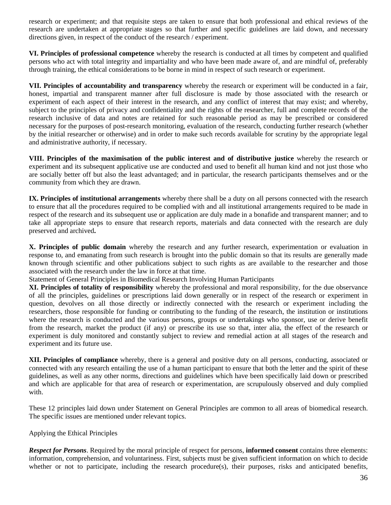research or experiment; and that requisite steps are taken to ensure that both professional and ethical reviews of the research are undertaken at appropriate stages so that further and specific guidelines are laid down, and necessary directions given, in respect of the conduct of the research / experiment.

**VI. Principles of professional competence** whereby the research is conducted at all times by competent and qualified persons who act with total integrity and impartiality and who have been made aware of, and are mindful of, preferably through training, the ethical considerations to be borne in mind in respect of such research or experiment.

**VII. Principles of accountability and transparency** whereby the research or experiment will be conducted in a fair, honest, impartial and transparent manner after full disclosure is made by those associated with the research or experiment of each aspect of their interest in the research, and any conflict of interest that may exist; and whereby, subject to the principles of privacy and confidentiality and the rights of the researcher, full and complete records of the research inclusive of data and notes are retained for such reasonable period as may be prescribed or considered necessary for the purposes of post-research monitoring, evaluation of the research, conducting further research (whether by the initial researcher or otherwise) and in order to make such records available for scrutiny by the appropriate legal and administrative authority, if necessary.

**VIII. Principles of the maximisation of the public interest and of distributive justice** whereby the research or experiment and its subsequent applicative use are conducted and used to benefit all human kind and not just those who are socially better off but also the least advantaged; and in particular, the research participants themselves and or the community from which they are drawn.

**IX. Principles of institutional arrangements** whereby there shall be a duty on all persons connected with the research to ensure that all the procedures required to be complied with and all institutional arrangements required to be made in respect of the research and its subsequent use or application are duly made in a bonafide and transparent manner; and to take all appropriate steps to ensure that research reports, materials and data connected with the research are duly preserved and archived**.**

**X. Principles of public domain** whereby the research and any further research, experimentation or evaluation in response to, and emanating from such research is brought into the public domain so that its results are generally made known through scientific and other publications subject to such rights as are available to the researcher and those associated with the research under the law in force at that time.

Statement of General Principles in Biomedical Research Involving Human Participants

**XI. Principles of totality of responsibility** whereby the professional and moral responsibility, for the due observance of all the principles, guidelines or prescriptions laid down generally or in respect of the research or experiment in question, devolves on all those directly or indirectly connected with the research or experiment including the researchers, those responsible for funding or contributing to the funding of the research, the institution or institutions where the research is conducted and the various persons, groups or undertakings who sponsor, use or derive benefit from the research, market the product (if any) or prescribe its use so that, inter alia, the effect of the research or experiment is duly monitored and constantly subject to review and remedial action at all stages of the research and experiment and its future use.

**XII. Principles of compliance** whereby, there is a general and positive duty on all persons, conducting, associated or connected with any research entailing the use of a human participant to ensure that both the letter and the spirit of these guidelines, as well as any other norms, directions and guidelines which have been specifically laid down or prescribed and which are applicable for that area of research or experimentation, are scrupulously observed and duly complied with.

These 12 principles laid down under Statement on General Principles are common to all areas of biomedical research. The specific issues are mentioned under relevant topics.

Applying the Ethical Principles

*Respect for Persons*. Required by the moral principle of respect for persons, **informed consent** contains three elements: information, comprehension, and voluntariness. First, subjects must be given sufficient information on which to decide whether or not to participate, including the research procedure(s), their purposes, risks and anticipated benefits,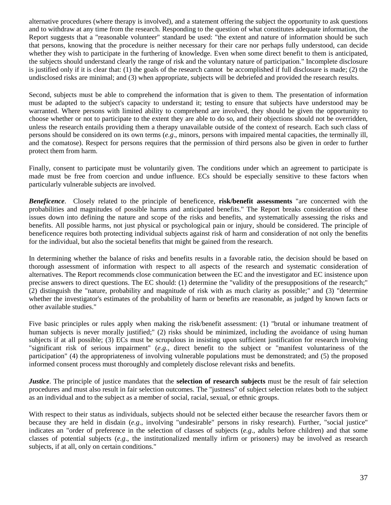alternative procedures (where therapy is involved), and a statement offering the subject the opportunity to ask questions and to withdraw at any time from the research. Responding to the question of what constitutes adequate information, the Report suggests that a "reasonable volunteer" standard be used: "the extent and nature of information should be such that persons, knowing that the procedure is neither necessary for their care nor perhaps fully understood, can decide whether they wish to participate in the furthering of knowledge. Even when some direct benefit to them is anticipated, the subjects should understand clearly the range of risk and the voluntary nature of participation." Incomplete disclosure is justified only if it is clear that: (1) the goals of the research cannot be accomplished if full disclosure is made; (2) the undisclosed risks are minimal; and (3) when appropriate, subjects will be debriefed and provided the research results.

Second, subjects must be able to comprehend the information that is given to them. The presentation of information must be adapted to the subject's capacity to understand it; testing to ensure that subjects have understood may be warranted. Where persons with limited ability to comprehend are involved, they should be given the opportunity to choose whether or not to participate to the extent they are able to do so, and their objections should not be overridden, unless the research entails providing them a therapy unavailable outside of the context of research. Each such class of persons should be considered on its own terms (*e.g*., minors, persons with impaired mental capacities, the terminally ill, and the comatose). Respect for persons requires that the permission of third persons also be given in order to further protect them from harm.

Finally, consent to participate must be voluntarily given. The conditions under which an agreement to participate is made must be free from coercion and undue influence. ECs should be especially sensitive to these factors when particularly vulnerable subjects are involved.

*Beneficence*. Closely related to the principle of beneficence, **risk/benefit assessments** "are concerned with the probabilities and magnitudes of possible harms and anticipated benefits." The Report breaks consideration of these issues down into defining the nature and scope of the risks and benefits, and systematically assessing the risks and benefits. All possible harms, not just physical or psychological pain or injury, should be considered. The principle of beneficence requires both protecting individual subjects against risk of harm and consideration of not only the benefits for the individual, but also the societal benefits that might be gained from the research.

In determining whether the balance of risks and benefits results in a favorable ratio, the decision should be based on thorough assessment of information with respect to all aspects of the research and systematic consideration of alternatives. The Report recommends close communication between the EC and the investigator and EC insistence upon precise answers to direct questions. The EC should: (1) determine the "validity of the presuppositions of the research;" (2) distinguish the "nature, probability and magnitude of risk with as much clarity as possible;" and (3) "determine whether the investigator's estimates of the probability of harm or benefits are reasonable, as judged by known facts or other available studies."

Five basic principles or rules apply when making the risk/benefit assessment: (1) "brutal or inhumane treatment of human subjects is never morally justified;" (2) risks should be minimized, including the avoidance of using human subjects if at all possible; (3) ECs must be scrupulous in insisting upon sufficient justification for research involving "significant risk of serious impairment" (*e.g*., direct benefit to the subject or "manifest voluntariness of the participation" (4) the appropriateness of involving vulnerable populations must be demonstrated; and (5) the proposed informed consent process must thoroughly and completely disclose relevant risks and benefits.

*Justice*. The principle of justice mandates that the **selection of research subjects** must be the result of fair selection procedures and must also result in fair selection outcomes. The "justness" of subject selection relates both to the subject as an individual and to the subject as a member of social, racial, sexual, or ethnic groups.

With respect to their status as individuals, subjects should not be selected either because the researcher favors them or because they are held in disdain (*e.g*., involving "undesirable" persons in risky research). Further, "social justice" indicates an "order of preference in the selection of classes of subjects (*e.g*., adults before children) and that some classes of potential subjects (*e.g*., the institutionalized mentally infirm or prisoners) may be involved as research subjects, if at all, only on certain conditions."